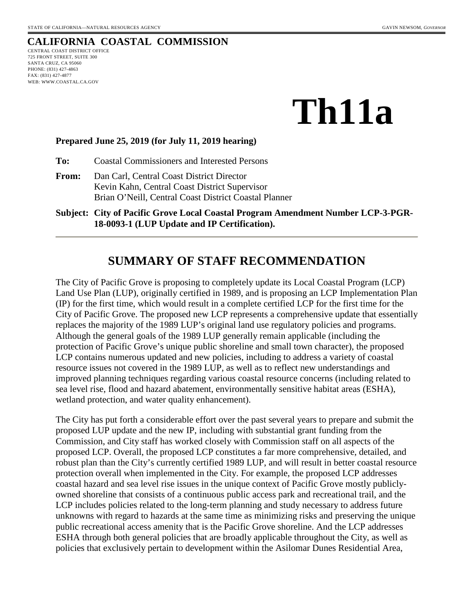## **CALIFORNIA COASTAL COMMISSION**

CENTRAL COAST DISTRICT OFFICE 725 FRONT STREET, SUITE 300 SANTA CRUZ, CA 95060 PHONE: (831) 427-4863 FAX: (831) 427-4877 WEB: WWW.COASTAL.CA.GOV

# **Th11a**

#### **Prepared June 25, 2019 (for July 11, 2019 hearing)**

**To:** Coastal Commissioners and Interested Persons

- **From:** Dan Carl, Central Coast District Director Kevin Kahn, Central Coast District Supervisor Brian O'Neill, Central Coast District Coastal Planner
- **Subject: City of Pacific Grove Local Coastal Program Amendment Number LCP-3-PGR-18-0093-1 (LUP Update and IP Certification).**

## **SUMMARY OF STAFF RECOMMENDATION**

The City of Pacific Grove is proposing to completely update its Local Coastal Program (LCP) Land Use Plan (LUP), originally certified in 1989, and is proposing an LCP Implementation Plan (IP) for the first time, which would result in a complete certified LCP for the first time for the City of Pacific Grove. The proposed new LCP represents a comprehensive update that essentially replaces the majority of the 1989 LUP's original land use regulatory policies and programs. Although the general goals of the 1989 LUP generally remain applicable (including the protection of Pacific Grove's unique public shoreline and small town character), the proposed LCP contains numerous updated and new policies, including to address a variety of coastal resource issues not covered in the 1989 LUP, as well as to reflect new understandings and improved planning techniques regarding various coastal resource concerns (including related to sea level rise, flood and hazard abatement, environmentally sensitive habitat areas (ESHA), wetland protection, and water quality enhancement).

The City has put forth a considerable effort over the past several years to prepare and submit the proposed LUP update and the new IP, including with substantial grant funding from the Commission, and City staff has worked closely with Commission staff on all aspects of the proposed LCP. Overall, the proposed LCP constitutes a far more comprehensive, detailed, and robust plan than the City's currently certified 1989 LUP, and will result in better coastal resource protection overall when implemented in the City. For example, the proposed LCP addresses coastal hazard and sea level rise issues in the unique context of Pacific Grove mostly publiclyowned shoreline that consists of a continuous public access park and recreational trail, and the LCP includes policies related to the long-term planning and study necessary to address future unknowns with regard to hazards at the same time as minimizing risks and preserving the unique public recreational access amenity that is the Pacific Grove shoreline. And the LCP addresses ESHA through both general policies that are broadly applicable throughout the City, as well as policies that exclusively pertain to development within the Asilomar Dunes Residential Area,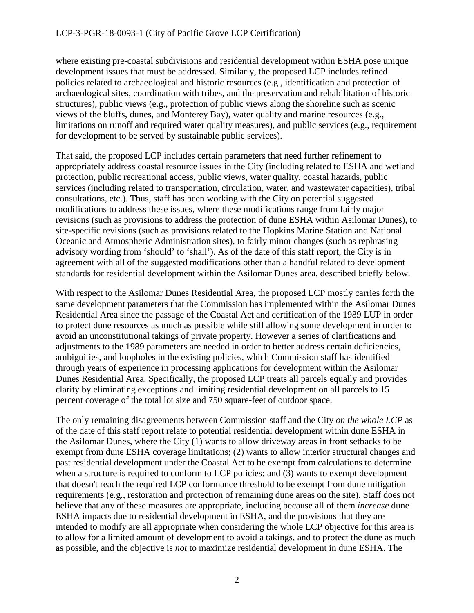where existing pre-coastal subdivisions and residential development within ESHA pose unique development issues that must be addressed. Similarly, the proposed LCP includes refined policies related to archaeological and historic resources (e.g., identification and protection of archaeological sites, coordination with tribes, and the preservation and rehabilitation of historic structures), public views (e.g., protection of public views along the shoreline such as scenic views of the bluffs, dunes, and Monterey Bay), water quality and marine resources (e.g., limitations on runoff and required water quality measures), and public services (e.g., requirement for development to be served by sustainable public services).

That said, the proposed LCP includes certain parameters that need further refinement to appropriately address coastal resource issues in the City (including related to ESHA and wetland protection, public recreational access, public views, water quality, coastal hazards, public services (including related to transportation, circulation, water, and wastewater capacities), tribal consultations, etc.). Thus, staff has been working with the City on potential suggested modifications to address these issues, where these modifications range from fairly major revisions (such as provisions to address the protection of dune ESHA within Asilomar Dunes), to site-specific revisions (such as provisions related to the Hopkins Marine Station and National Oceanic and Atmospheric Administration sites), to fairly minor changes (such as rephrasing advisory wording from 'should' to 'shall'). As of the date of this staff report, the City is in agreement with all of the suggested modifications other than a handful related to development standards for residential development within the Asilomar Dunes area, described briefly below.

With respect to the Asilomar Dunes Residential Area, the proposed LCP mostly carries forth the same development parameters that the Commission has implemented within the Asilomar Dunes Residential Area since the passage of the Coastal Act and certification of the 1989 LUP in order to protect dune resources as much as possible while still allowing some development in order to avoid an unconstitutional takings of private property. However a series of clarifications and adjustments to the 1989 parameters are needed in order to better address certain deficiencies, ambiguities, and loopholes in the existing policies, which Commission staff has identified through years of experience in processing applications for development within the Asilomar Dunes Residential Area. Specifically, the proposed LCP treats all parcels equally and provides clarity by eliminating exceptions and limiting residential development on all parcels to 15 percent coverage of the total lot size and 750 square-feet of outdoor space.

The only remaining disagreements between Commission staff and the City *on the whole LCP* as of the date of this staff report relate to potential residential development within dune ESHA in the Asilomar Dunes, where the City (1) wants to allow driveway areas in front setbacks to be exempt from dune ESHA coverage limitations; (2) wants to allow interior structural changes and past residential development under the Coastal Act to be exempt from calculations to determine when a structure is required to conform to LCP policies; and (3) wants to exempt development that doesn't reach the required LCP conformance threshold to be exempt from dune mitigation requirements (e.g., restoration and protection of remaining dune areas on the site). Staff does not believe that any of these measures are appropriate, including because all of them *increase* dune ESHA impacts due to residential development in ESHA, and the provisions that they are intended to modify are all appropriate when considering the whole LCP objective for this area is to allow for a limited amount of development to avoid a takings, and to protect the dune as much as possible, and the objective is *not* to maximize residential development in dune ESHA. The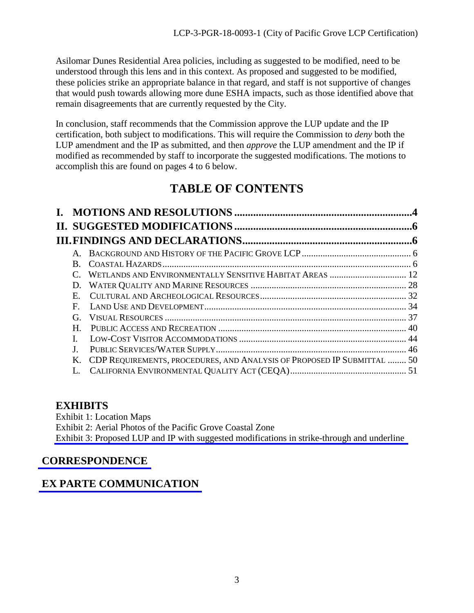Asilomar Dunes Residential Area policies, including as suggested to be modified, need to be understood through this lens and in this context. As proposed and suggested to be modified, these policies strike an appropriate balance in that regard, and staff is not supportive of changes that would push towards allowing more dune ESHA impacts, such as those identified above that remain disagreements that are currently requested by the City.

In conclusion, staff recommends that the Commission approve the LUP update and the IP certification, both subject to modifications. This will require the Commission to *deny* both the LUP amendment and the IP as submitted, and then *approve* the LUP amendment and the IP if modified as recommended by staff to incorporate the suggested modifications. The motions to accomplish this are found on pages 4 to 6 below.

# **TABLE OF CONTENTS**

| $A_{-}$      |                                                                         |  |
|--------------|-------------------------------------------------------------------------|--|
| B.           |                                                                         |  |
|              | WETLANDS AND ENVIRONMENTALLY SENSITIVE HABITAT AREAS  12                |  |
| D.           |                                                                         |  |
| E.           |                                                                         |  |
| $\mathbf{F}$ |                                                                         |  |
| G.           |                                                                         |  |
| $H_{\cdot}$  |                                                                         |  |
|              |                                                                         |  |
| $\bf{J}$ .   |                                                                         |  |
| Κ.           | CDP REQUIREMENTS, PROCEDURES, AND ANALYSIS OF PROPOSED IP SUBMITTAL  50 |  |
|              |                                                                         |  |

## **EXHIBITS**

Exhibit 1: Location Maps Exhibit 2: Aerial Photos of the Pacific Grove Coastal Zone [Exhibit 3: Proposed LUP and IP with suggested modifications in strike-through and underline](https://documents.coastal.ca.gov/reports/2019/7/Th11a/Th11a-7-2019-exhibits.pdf) 

## **[CORRESPONDENCE](https://documents.coastal.ca.gov/reports/2019/7/Th11a/Th11a-7-2019-corresp.pdf)**

# **[EX PARTE COMMUNICATION](https://documents.coastal.ca.gov/reports/2019/7/Th11a/Th11a-7-2019-exparte.pdf)**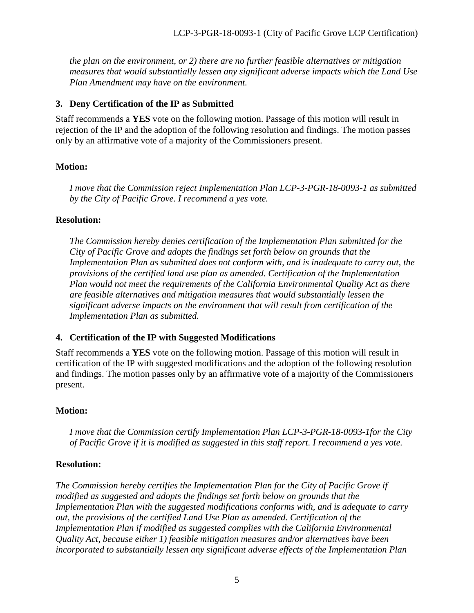Asilomar Dunes Residential Area policies, including as suggested to be modified, need to be understood through this lens and in this context. As proposed and suggested to be modified, these policies strike an appropriate balance in that regard, and staff is not supportive of changes that would push towards allowing more dune ESHA impacts, such as those identified above that remain disagreements that are currently requested by the City.

In conclusion, staff recommends that the Commission approve the LUP update and the IP certification, both subject to modifications. This will require the Commission to *deny* both the LUP amendment and the IP as submitted, and then *approve* the LUP amendment and the IP if modified as recommended by staff to incorporate the suggested modifications. The motions to accomplish this are found on pages 4 to 6 below.

# **TABLE OF CONTENTS**

| $A_{-}$      |                                                                         |  |
|--------------|-------------------------------------------------------------------------|--|
| B.           |                                                                         |  |
|              | WETLANDS AND ENVIRONMENTALLY SENSITIVE HABITAT AREAS  12                |  |
| D.           |                                                                         |  |
| E.           |                                                                         |  |
| $\mathbf{F}$ |                                                                         |  |
| G.           |                                                                         |  |
| $H_{\cdot}$  |                                                                         |  |
|              |                                                                         |  |
| $\bf{J}$ .   |                                                                         |  |
| Κ.           | CDP REQUIREMENTS, PROCEDURES, AND ANALYSIS OF PROPOSED IP SUBMITTAL  50 |  |
|              |                                                                         |  |

## **EXHIBITS**

**Exhibit 1: Location Maps** Exhibit 2: Aerial Photos of the Pacific Grove Coastal Zone Exhibit 3: Proposed LUP and IP with suggested modifications in strike-through and underline

## **CORRESPONDENCE**

# **EX PARTE COMMUNICATION**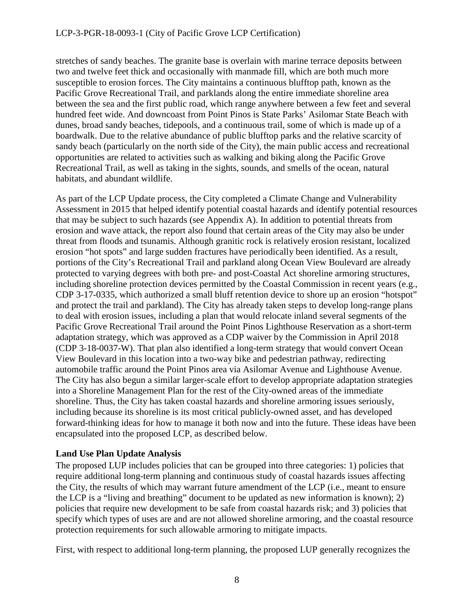### LCP-3-PGR-18-0093-1 (City of Pacific Grove LCP Certification)

stretches of sandy beaches. The granite base is overlain with marine terrace deposits between two and twelve feet thick and occasionally with manmade fill, which are both much more susceptible to erosion forces. The City maintains a continuous blufftop path, known as the Pacific Grove Recreational Trail, and parklands along the entire immediate shoreline area between the sea and the first public road, which range anywhere between a few feet and several hundred feet wide. And downcoast from Point Pinos is State Parks' Asilomar State Beach with dunes, broad sandy beaches, tidepools, and a continuous trail, some of which is made up of a boardwalk. Due to the relative abundance of public blufftop parks and the relative scarcity of sandy beach (particularly on the north side of the City), the main public access and recreational opportunities are related to activities such as walking and biking along the Pacific Grove Recreational Trail, as well as taking in the sights, sounds, and smells of the ocean, natural habitats, and abundant wildlife.

As part of the LCP Update process, the City completed a Climate Change and Vulnerability Assessment in 2015 that helped identify potential coastal hazards and identify potential resources that may be subject to such hazards (see Appendix A). In addition to potential threats from erosion and wave attack, the report also found that certain areas of the City may also be under threat from floods and tsunamis. Although granitic rock is relatively erosion resistant, localized erosion "hot spots" and large sudden fractures have periodically been identified. As a result, portions of the City's Recreational Trail and parkland along Ocean View Boulevard are already protected to varying degrees with both pre- and post-Coastal Act shoreline armoring structures, including shoreline protection devices permitted by the Coastal Commission in recent years (e.g., CDP 3-17-0335, which authorized a small bluff retention device to shore up an erosion "hotspot" and protect the trail and parkland). The City has already taken steps to develop long-range plans to deal with erosion issues, including a plan that would relocate inland several segments of the Pacific Grove Recreational Trail around the Point Pinos Lighthouse Reservation as a short-term adaptation strategy, which was approved as a CDP waiver by the Commission in April 2018 (CDP 3-18-0037-W). That plan also identified a long-term strategy that would convert Ocean View Boulevard in this location into a two-way bike and pedestrian pathway, redirecting automobile traffic around the Point Pinos area via Asilomar Avenue and Lighthouse Avenue. The City has also begun a similar larger-scale effort to develop appropriate adaptation strategies into a Shoreline Management Plan for the rest of the City-owned areas of the immediate shoreline. Thus, the City has taken coastal hazards and shoreline armoring issues seriously, including because its shoreline is its most critical publicly-owned asset, and has developed forward-thinking ideas for how to manage it both now and into the future. These ideas have been encapsulated into the proposed LCP, as described below.

### **Land Use Plan Update Analysis**

The proposed LUP includes policies that can be grouped into three categories: 1) policies that require additional long-term planning and continuous study of coastal hazards issues affecting the City, the results of which may warrant future amendment of the LCP (i.e., meant to ensure the LCP is a "living and breathing" document to be updated as new information is known); 2) policies that require new development to be safe from coastal hazards risk; and 3) policies that specify which types of uses are and are not allowed shoreline armoring, and the coastal resource protection requirements for such allowable armoring to mitigate impacts.

First, with respect to additional long-term planning, the proposed LUP generally recognizes the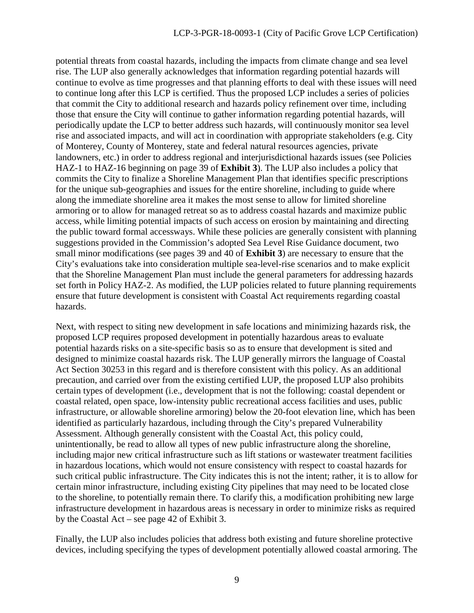potential threats from coastal hazards, including the impacts from climate change and sea level rise. The LUP also generally acknowledges that information regarding potential hazards will continue to evolve as time progresses and that planning efforts to deal with these issues will need to continue long after this LCP is certified. Thus the proposed LCP includes a series of policies that commit the City to additional research and hazards policy refinement over time, including those that ensure the City will continue to gather information regarding potential hazards, will periodically update the LCP to better address such hazards, will continuously monitor sea level rise and associated impacts, and will act in coordination with appropriate stakeholders (e.g. City of Monterey, County of Monterey, state and federal natural resources agencies, private landowners, etc.) in order to address regional and interjurisdictional hazards issues (see Policies HAZ-1 to HAZ-16 beginning on page 39 of **Exhibit 3**). The LUP also includes a policy that commits the City to finalize a Shoreline Management Plan that identifies specific prescriptions for the unique sub-geographies and issues for the entire shoreline, including to guide where along the immediate shoreline area it makes the most sense to allow for limited shoreline armoring or to allow for managed retreat so as to address coastal hazards and maximize public access, while limiting potential impacts of such access on erosion by maintaining and directing the public toward formal accessways. While these policies are generally consistent with planning suggestions provided in the Commission's adopted Sea Level Rise Guidance document, two small minor modifications (see pages 39 and 40 of **Exhibit 3**) are necessary to ensure that the City's evaluations take into consideration multiple sea-level-rise scenarios and to make explicit that the Shoreline Management Plan must include the general parameters for addressing hazards set forth in Policy HAZ-2. As modified, the LUP policies related to future planning requirements ensure that future development is consistent with Coastal Act requirements regarding coastal hazards.

Next, with respect to siting new development in safe locations and minimizing hazards risk, the proposed LCP requires proposed development in potentially hazardous areas to evaluate potential hazards risks on a site-specific basis so as to ensure that development is sited and designed to minimize coastal hazards risk. The LUP generally mirrors the language of Coastal Act Section 30253 in this regard and is therefore consistent with this policy. As an additional precaution, and carried over from the existing certified LUP, the proposed LUP also prohibits certain types of development (i.e., development that is not the following: coastal dependent or coastal related, open space, low-intensity public recreational access facilities and uses, public infrastructure, or allowable shoreline armoring) below the 20-foot elevation line, which has been identified as particularly hazardous, including through the City's prepared Vulnerability Assessment. Although generally consistent with the Coastal Act, this policy could, unintentionally, be read to allow all types of new public infrastructure along the shoreline, including major new critical infrastructure such as lift stations or wastewater treatment facilities in hazardous locations, which would not ensure consistency with respect to coastal hazards for such critical public infrastructure. The City indicates this is not the intent; rather, it is to allow for certain minor infrastructure, including existing City pipelines that may need to be located close to the shoreline, to potentially remain there. To clarify this, a modification prohibiting new large infrastructure development in hazardous areas is necessary in order to minimize risks as required by the Coastal Act – see page 42 of Exhibit 3.

Finally, the LUP also includes policies that address both existing and future shoreline protective devices, including specifying the types of development potentially allowed coastal armoring. The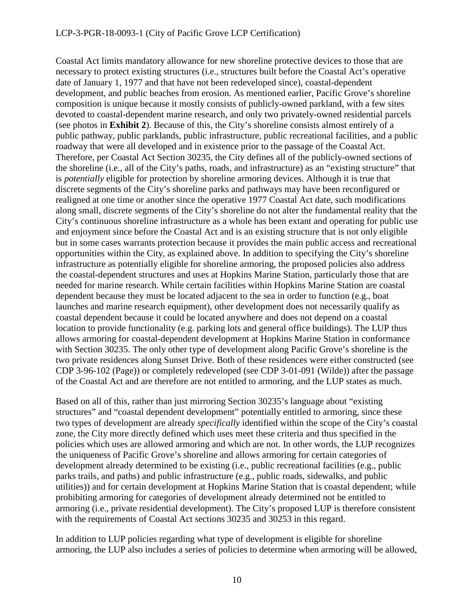#### LCP-3-PGR-18-0093-1 (City of Pacific Grove LCP Certification)

Coastal Act limits mandatory allowance for new shoreline protective devices to those that are necessary to protect existing structures (i.e., structures built before the Coastal Act's operative date of January 1, 1977 and that have not been redeveloped since), coastal-dependent development, and public beaches from erosion. As mentioned earlier, Pacific Grove's shoreline composition is unique because it mostly consists of publicly-owned parkland, with a few sites devoted to coastal-dependent marine research, and only two privately-owned residential parcels (see photos in **Exhibit 2**). Because of this, the City's shoreline consists almost entirely of a public pathway, public parklands, public infrastructure, public recreational facilities, and a public roadway that were all developed and in existence prior to the passage of the Coastal Act. Therefore, per Coastal Act Section 30235, the City defines all of the publicly-owned sections of the shoreline (i.e., all of the City's paths, roads, and infrastructure) as an "existing structure" that is *potentially* eligible for protection by shoreline armoring devices. Although it is true that discrete segments of the City's shoreline parks and pathways may have been reconfigured or realigned at one time or another since the operative 1977 Coastal Act date, such modifications along small, discrete segments of the City's shoreline do not alter the fundamental reality that the City's continuous shoreline infrastructure as a whole has been extant and operating for public use and enjoyment since before the Coastal Act and is an existing structure that is not only eligible but in some cases warrants protection because it provides the main public access and recreational opportunities within the City, as explained above. In addition to specifying the City's shoreline infrastructure as potentially eligible for shoreline armoring, the proposed policies also address the coastal-dependent structures and uses at Hopkins Marine Station, particularly those that are needed for marine research. While certain facilities within Hopkins Marine Station are coastal dependent because they must be located adjacent to the sea in order to function (e.g., boat launches and marine research equipment), other development does not necessarily qualify as coastal dependent because it could be located anywhere and does not depend on a coastal location to provide functionality (e.g. parking lots and general office buildings). The LUP thus allows armoring for coastal-dependent development at Hopkins Marine Station in conformance with Section 30235. The only other type of development along Pacific Grove's shoreline is the two private residences along Sunset Drive. Both of these residences were either constructed (see CDP 3-96-102 (Page)) or completely redeveloped (see CDP 3-01-091 (Wilde)) after the passage of the Coastal Act and are therefore are not entitled to armoring, and the LUP states as much.

Based on all of this, rather than just mirroring Section 30235's language about "existing structures" and "coastal dependent development" potentially entitled to armoring, since these two types of development are already *specifically* identified within the scope of the City's coastal zone, the City more directly defined which uses meet these criteria and thus specified in the policies which uses are allowed armoring and which are not. In other words, the LUP recognizes the uniqueness of Pacific Grove's shoreline and allows armoring for certain categories of development already determined to be existing (i.e., public recreational facilities (e.g., public parks trails, and paths) and public infrastructure (e.g., public roads, sidewalks, and public utilities)) and for certain development at Hopkins Marine Station that is coastal dependent; while prohibiting armoring for categories of development already determined not be entitled to armoring (i.e., private residential development). The City's proposed LUP is therefore consistent with the requirements of Coastal Act sections 30235 and 30253 in this regard.

In addition to LUP policies regarding what type of development is eligible for shoreline armoring, the LUP also includes a series of policies to determine when armoring will be allowed,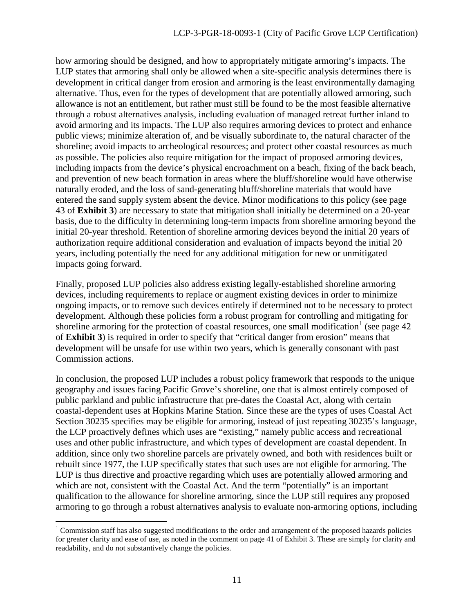how armoring should be designed, and how to appropriately mitigate armoring's impacts. The LUP states that armoring shall only be allowed when a site-specific analysis determines there is development in critical danger from erosion and armoring is the least environmentally damaging alternative. Thus, even for the types of development that are potentially allowed armoring, such allowance is not an entitlement, but rather must still be found to be the most feasible alternative through a robust alternatives analysis, including evaluation of managed retreat further inland to avoid armoring and its impacts. The LUP also requires armoring devices to protect and enhance public views; minimize alteration of, and be visually subordinate to, the natural character of the shoreline; avoid impacts to archeological resources; and protect other coastal resources as much as possible. The policies also require mitigation for the impact of proposed armoring devices, including impacts from the device's physical encroachment on a beach, fixing of the back beach, and prevention of new beach formation in areas where the bluff/shoreline would have otherwise naturally eroded, and the loss of sand-generating bluff/shoreline materials that would have entered the sand supply system absent the device. Minor modifications to this policy (see page 43 of **Exhibit 3**) are necessary to state that mitigation shall initially be determined on a 20-year basis, due to the difficulty in determining long-term impacts from shoreline armoring beyond the initial 20-year threshold. Retention of shoreline armoring devices beyond the initial 20 years of authorization require additional consideration and evaluation of impacts beyond the initial 20 years, including potentially the need for any additional mitigation for new or unmitigated impacts going forward.

Finally, proposed LUP policies also address existing legally-established shoreline armoring devices, including requirements to replace or augment existing devices in order to minimize ongoing impacts, or to remove such devices entirely if determined not to be necessary to protect development. Although these policies form a robust program for controlling and mitigating for shoreline armoring for the protection of coastal resources, one small modification<sup>[1](#page-10-0)</sup> (see page  $42$ ) of **Exhibit 3**) is required in order to specify that "critical danger from erosion" means that development will be unsafe for use within two years, which is generally consonant with past Commission actions.

In conclusion, the proposed LUP includes a robust policy framework that responds to the unique geography and issues facing Pacific Grove's shoreline, one that is almost entirely composed of public parkland and public infrastructure that pre-dates the Coastal Act, along with certain coastal-dependent uses at Hopkins Marine Station. Since these are the types of uses Coastal Act Section 30235 specifies may be eligible for armoring, instead of just repeating 30235's language, the LCP proactively defines which uses are "existing," namely public access and recreational uses and other public infrastructure, and which types of development are coastal dependent. In addition, since only two shoreline parcels are privately owned, and both with residences built or rebuilt since 1977, the LUP specifically states that such uses are not eligible for armoring. The LUP is thus directive and proactive regarding which uses are potentially allowed armoring and which are not, consistent with the Coastal Act. And the term "potentially" is an important qualification to the allowance for shoreline armoring, since the LUP still requires any proposed armoring to go through a robust alternatives analysis to evaluate non-armoring options, including

<span id="page-10-0"></span> $\overline{a}$ <sup>1</sup> Commission staff has also suggested modifications to the order and arrangement of the proposed hazards policies for greater clarity and ease of use, as noted in the comment on page 41 of Exhibit 3. These are simply for clarity and readability, and do not substantively change the policies.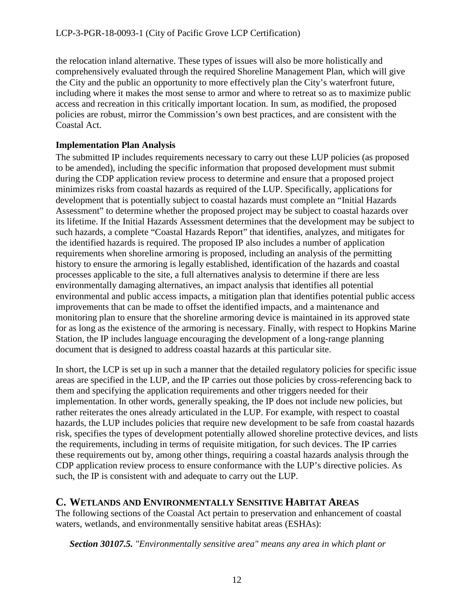the relocation inland alternative. These types of issues will also be more holistically and comprehensively evaluated through the required Shoreline Management Plan, which will give the City and the public an opportunity to more effectively plan the City's waterfront future, including where it makes the most sense to armor and where to retreat so as to maximize public access and recreation in this critically important location. In sum, as modified, the proposed policies are robust, mirror the Commission's own best practices, and are consistent with the Coastal Act.

### **Implementation Plan Analysis**

The submitted IP includes requirements necessary to carry out these LUP policies (as proposed to be amended), including the specific information that proposed development must submit during the CDP application review process to determine and ensure that a proposed project minimizes risks from coastal hazards as required of the LUP. Specifically, applications for development that is potentially subject to coastal hazards must complete an "Initial Hazards Assessment" to determine whether the proposed project may be subject to coastal hazards over its lifetime. If the Initial Hazards Assessment determines that the development may be subject to such hazards, a complete "Coastal Hazards Report" that identifies, analyzes, and mitigates for the identified hazards is required. The proposed IP also includes a number of application requirements when shoreline armoring is proposed, including an analysis of the permitting history to ensure the armoring is legally established, identification of the hazards and coastal processes applicable to the site, a full alternatives analysis to determine if there are less environmentally damaging alternatives, an impact analysis that identifies all potential environmental and public access impacts, a mitigation plan that identifies potential public access improvements that can be made to offset the identified impacts, and a maintenance and monitoring plan to ensure that the shoreline armoring device is maintained in its approved state for as long as the existence of the armoring is necessary. Finally, with respect to Hopkins Marine Station, the IP includes language encouraging the development of a long-range planning document that is designed to address coastal hazards at this particular site.

In short, the LCP is set up in such a manner that the detailed regulatory policies for specific issue areas are specified in the LUP, and the IP carries out those policies by cross-referencing back to them and specifying the application requirements and other triggers needed for their implementation. In other words, generally speaking, the IP does not include new policies, but rather reiterates the ones already articulated in the LUP. For example, with respect to coastal hazards, the LUP includes policies that require new development to be safe from coastal hazards risk, specifies the types of development potentially allowed shoreline protective devices, and lists the requirements, including in terms of requisite mitigation, for such devices. The IP carries these requirements out by, among other things, requiring a coastal hazards analysis through the CDP application review process to ensure conformance with the LUP's directive policies. As such, the IP is consistent with and adequate to carry out the LUP.

## <span id="page-11-0"></span>**C. WETLANDS AND ENVIRONMENTALLY SENSITIVE HABITAT AREAS**

The following sections of the Coastal Act pertain to preservation and enhancement of coastal waters, wetlands, and environmentally sensitive habitat areas (ESHAs):

*Section 30107.5. "Environmentally sensitive area" means any area in which plant or*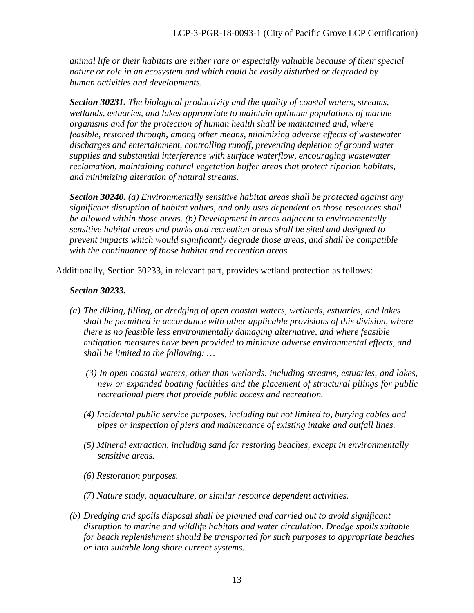*animal life or their habitats are either rare or especially valuable because of their special nature or role in an ecosystem and which could be easily disturbed or degraded by human activities and developments.* 

 *Section 30231. The biological productivity and the quality of coastal waters, streams, wetlands, estuaries, and lakes appropriate to maintain optimum populations of marine organisms and for the protection of human health shall be maintained and, where feasible, restored through, among other means, minimizing adverse effects of wastewater discharges and entertainment, controlling runoff, preventing depletion of ground water supplies and substantial interference with surface waterflow, encouraging wastewater reclamation, maintaining natural vegetation buffer areas that protect riparian habitats, and minimizing alteration of natural streams.* 

*Section 30240. (a) Environmentally sensitive habitat areas shall be protected against any significant disruption of habitat values, and only uses dependent on those resources shall be allowed within those areas. (b) Development in areas adjacent to environmentally sensitive habitat areas and parks and recreation areas shall be sited and designed to prevent impacts which would significantly degrade those areas, and shall be compatible with the continuance of those habitat and recreation areas.* 

Additionally, Section 30233, in relevant part, provides wetland protection as follows:

#### *Section 30233.*

- *(a) The diking, filling, or dredging of open coastal waters, wetlands, estuaries, and lakes shall be permitted in accordance with other applicable provisions of this division, where there is no feasible less environmentally damaging alternative, and where feasible mitigation measures have been provided to minimize adverse environmental effects, and shall be limited to the following: …*
	- *(3) In open coastal waters, other than wetlands, including streams, estuaries, and lakes, new or expanded boating facilities and the placement of structural pilings for public recreational piers that provide public access and recreation.*
	- *(4) Incidental public service purposes, including but not limited to, burying cables and pipes or inspection of piers and maintenance of existing intake and outfall lines.*
	- *(5) Mineral extraction, including sand for restoring beaches, except in environmentally sensitive areas.*
	- *(6) Restoration purposes.*
	- *(7) Nature study, aquaculture, or similar resource dependent activities.*
- *(b) Dredging and spoils disposal shall be planned and carried out to avoid significant disruption to marine and wildlife habitats and water circulation. Dredge spoils suitable for beach replenishment should be transported for such purposes to appropriate beaches or into suitable long shore current systems.*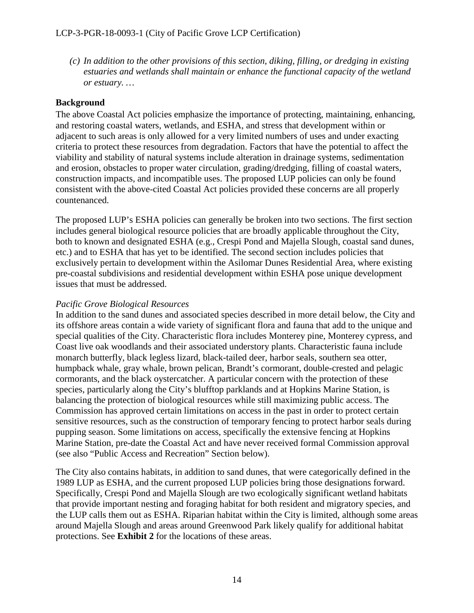*(c) In addition to the other provisions of this section, diking, filling, or dredging in existing estuaries and wetlands shall maintain or enhance the functional capacity of the wetland or estuary. …* 

## **Background**

The above Coastal Act policies emphasize the importance of protecting, maintaining, enhancing, and restoring coastal waters, wetlands, and ESHA, and stress that development within or adjacent to such areas is only allowed for a very limited numbers of uses and under exacting criteria to protect these resources from degradation. Factors that have the potential to affect the viability and stability of natural systems include alteration in drainage systems, sedimentation and erosion, obstacles to proper water circulation, grading/dredging, filling of coastal waters, construction impacts, and incompatible uses. The proposed LUP policies can only be found consistent with the above-cited Coastal Act policies provided these concerns are all properly countenanced.

The proposed LUP's ESHA policies can generally be broken into two sections. The first section includes general biological resource policies that are broadly applicable throughout the City, both to known and designated ESHA (e.g., Crespi Pond and Majella Slough, coastal sand dunes, etc.) and to ESHA that has yet to be identified. The second section includes policies that exclusively pertain to development within the Asilomar Dunes Residential Area, where existing pre-coastal subdivisions and residential development within ESHA pose unique development issues that must be addressed.

## *Pacific Grove Biological Resources*

In addition to the sand dunes and associated species described in more detail below, the City and its offshore areas contain a wide variety of significant flora and fauna that add to the unique and special qualities of the City. Characteristic flora includes Monterey pine, Monterey cypress, and Coast live oak woodlands and their associated understory plants. Characteristic fauna include monarch butterfly, black legless lizard, black-tailed deer, harbor seals, southern sea otter, humpback whale, gray whale, brown pelican, Brandt's cormorant, double-crested and pelagic cormorants, and the black oystercatcher. A particular concern with the protection of these species, particularly along the City's blufftop parklands and at Hopkins Marine Station, is balancing the protection of biological resources while still maximizing public access. The Commission has approved certain limitations on access in the past in order to protect certain sensitive resources, such as the construction of temporary fencing to protect harbor seals during pupping season. Some limitations on access, specifically the extensive fencing at Hopkins Marine Station, pre-date the Coastal Act and have never received formal Commission approval (see also "Public Access and Recreation" Section below).

The City also contains habitats, in addition to sand dunes, that were categorically defined in the 1989 LUP as ESHA, and the current proposed LUP policies bring those designations forward. Specifically, Crespi Pond and Majella Slough are two ecologically significant wetland habitats that provide important nesting and foraging habitat for both resident and migratory species, and the LUP calls them out as ESHA. Riparian habitat within the City is limited, although some areas around Majella Slough and areas around Greenwood Park likely qualify for additional habitat protections. See **Exhibit 2** for the locations of these areas.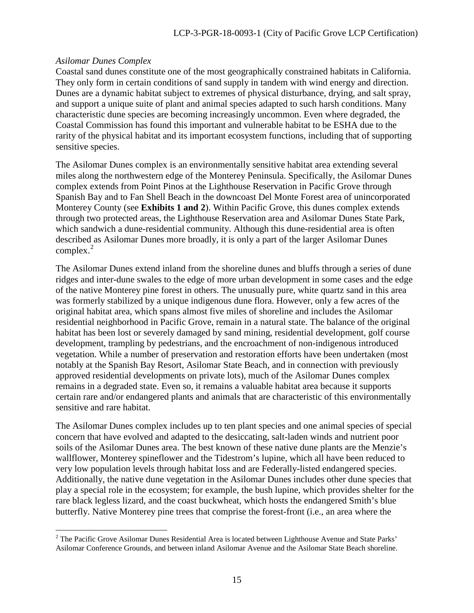#### *Asilomar Dunes Complex*

 $\overline{a}$ 

Coastal sand dunes constitute one of the most geographically constrained habitats in California. They only form in certain conditions of sand supply in tandem with wind energy and direction. Dunes are a dynamic habitat subject to extremes of physical disturbance, drying, and salt spray, and support a unique suite of plant and animal species adapted to such harsh conditions. Many characteristic dune species are becoming increasingly uncommon. Even where degraded, the Coastal Commission has found this important and vulnerable habitat to be ESHA due to the rarity of the physical habitat and its important ecosystem functions, including that of supporting sensitive species.

The Asilomar Dunes complex is an environmentally sensitive habitat area extending several miles along the northwestern edge of the Monterey Peninsula. Specifically, the Asilomar Dunes complex extends from Point Pinos at the Lighthouse Reservation in Pacific Grove through Spanish Bay and to Fan Shell Beach in the downcoast Del Monte Forest area of unincorporated Monterey County (see **Exhibits 1 and 2**). Within Pacific Grove, this dunes complex extends through two protected areas, the Lighthouse Reservation area and Asilomar Dunes State Park, which sandwich a dune-residential community. Although this dune-residential area is often described as Asilomar Dunes more broadly, it is only a part of the larger Asilomar Dunes complex. $2$ 

The Asilomar Dunes extend inland from the shoreline dunes and bluffs through a series of dune ridges and inter-dune swales to the edge of more urban development in some cases and the edge of the native Monterey pine forest in others. The unusually pure, white quartz sand in this area was formerly stabilized by a unique indigenous dune flora. However, only a few acres of the original habitat area, which spans almost five miles of shoreline and includes the Asilomar residential neighborhood in Pacific Grove, remain in a natural state. The balance of the original habitat has been lost or severely damaged by sand mining, residential development, golf course development, trampling by pedestrians, and the encroachment of non-indigenous introduced vegetation. While a number of preservation and restoration efforts have been undertaken (most notably at the Spanish Bay Resort, Asilomar State Beach, and in connection with previously approved residential developments on private lots), much of the Asilomar Dunes complex remains in a degraded state. Even so, it remains a valuable habitat area because it supports certain rare and/or endangered plants and animals that are characteristic of this environmentally sensitive and rare habitat.

The Asilomar Dunes complex includes up to ten plant species and one animal species of special concern that have evolved and adapted to the desiccating, salt-laden winds and nutrient poor soils of the Asilomar Dunes area. The best known of these native dune plants are the Menzie's wallflower, Monterey spineflower and the Tidestrom's lupine, which all have been reduced to very low population levels through habitat loss and are Federally-listed endangered species. Additionally, the native dune vegetation in the Asilomar Dunes includes other dune species that play a special role in the ecosystem; for example, the bush lupine, which provides shelter for the rare black legless lizard, and the coast buckwheat, which hosts the endangered Smith's blue butterfly. Native Monterey pine trees that comprise the forest-front (i.e., an area where the

<span id="page-14-0"></span> $2$  The Pacific Grove Asilomar Dunes Residential Area is located between Lighthouse Avenue and State Parks' Asilomar Conference Grounds, and between inland Asilomar Avenue and the Asilomar State Beach shoreline.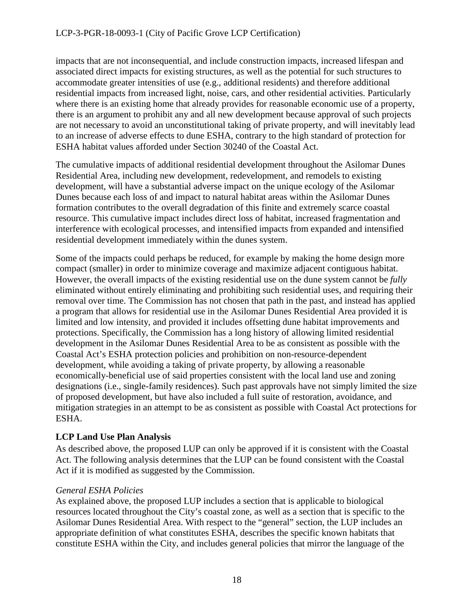how armoring should be designed, and how to appropriately mitigate armoring's impacts. The LUP states that armoring shall only be allowed when a site-specific analysis determines there is development in critical danger from erosion and armoring is the least environmentally damaging alternative. Thus, even for the types of development that are potentially allowed armoring, such allowance is not an entitlement, but rather must still be found to be the most feasible alternative through a robust alternatives analysis, including evaluation of managed retreat further inland to avoid armoring and its impacts. The LUP also requires armoring devices to protect and enhance public views; minimize alteration of, and be visually subordinate to, the natural character of the shoreline; avoid impacts to archeological resources; and protect other coastal resources as much as possible. The policies also require mitigation for the impact of proposed armoring devices, including impacts from the device's physical encroachment on a beach, fixing of the back beach, and prevention of new beach formation in areas where the bluff/shoreline would have otherwise naturally eroded, and the loss of sand-generating bluff/shoreline materials that would have entered the sand supply system absent the device. Minor modifications to this policy (see page 43 of *Exhibit 3*) are necessary to state that mitigation shall initially be determined on a 20-year basis, due to the difficulty in determining long-term impacts from shoreline armoring beyond the initial 20-year threshold. Retention of shoreline armoring devices beyond the initial 20 years of authorization require additional consideration and evaluation of impacts beyond the initial 20 years, including potentially the need for any additional mitigation for new or unmitigated impacts going forward.

Finally, proposed LUP policies also address existing legally-established shoreline armoring devices, including requirements to replace or augment existing devices in order to minimize ongoing impacts, or to remove such devices entirely if determined not to be necessary to protect development. Although these policies form a robust program for controlling and mitigating for shoreline armoring for the protection of coastal resources, one small modification  $\frac{1}{1}$  (see page 42) of *Exhibit 3*) is required in order to specify that "critical danger from erosion" means that development will be unsafe for use within two years, which is generally consonant with past Commission actions.

In conclusion, the proposed LUP includes a robust policy framework that responds to the unique geography and issues facing Pacific Grove's shoreline, one that is almost entirely composed of public parkland and public infrastructure that pre-dates the Coastal Act, along with certain coastal-dependent uses at Hopkins Marine Station. Since these are the types of uses Coastal Act Section 30235 specifies may be eligible for armoring, instead of just repeating 30235's language, the LCP proactively defines which uses are "existing," namely public access and recreational uses and other public infrastructure, and which types of development are coastal dependent. In addition, since only two shoreline parcels are privately owned, and both with residences built or rebuilt since 1977, the LUP specifically states that such uses are not eligible for armoring. The LUP is thus directive and proactive regarding which uses are potentially allowed armoring and which are not, consistent with the Coastal Act. And the term "potentially" is an important qualification to the allowance for shoreline armoring, since the LUP still requires any proposed armoring to go through a robust alternatives analysis to evaluate non-armoring options, including

<sup>&</sup>lt;sup>1</sup> Commission staff has also suggested modifications to the order and arrangement of the proposed hazards policies for greater clarity and ease of use, as noted in the comment on page 41 of Exhibit 3. These are simply for clarity and readability, and do not substantively change the policies.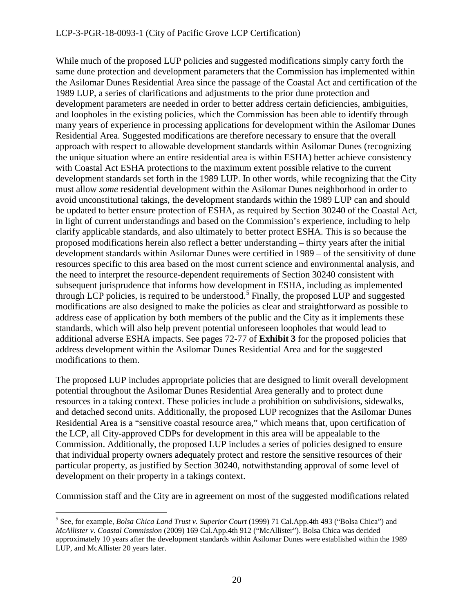#### LCP-3-PGR-18-0093-1 (City of Pacific Grove LCP Certification)

While much of the proposed LUP policies and suggested modifications simply carry forth the same dune protection and development parameters that the Commission has implemented within the Asilomar Dunes Residential Area since the passage of the Coastal Act and certification of the 1989 LUP, a series of clarifications and adjustments to the prior dune protection and development parameters are needed in order to better address certain deficiencies, ambiguities, and loopholes in the existing policies, which the Commission has been able to identify through many years of experience in processing applications for development within the Asilomar Dunes Residential Area. Suggested modifications are therefore necessary to ensure that the overall approach with respect to allowable development standards within Asilomar Dunes (recognizing the unique situation where an entire residential area is within ESHA) better achieve consistency with Coastal Act ESHA protections to the maximum extent possible relative to the current development standards set forth in the 1989 LUP. In other words, while recognizing that the City must allow *some* residential development within the Asilomar Dunes neighborhood in order to avoid unconstitutional takings, the development standards within the 1989 LUP can and should be updated to better ensure protection of ESHA, as required by Section 30240 of the Coastal Act, in light of current understandings and based on the Commission's experience, including to help clarify applicable standards, and also ultimately to better protect ESHA. This is so because the proposed modifications herein also reflect a better understanding – thirty years after the initial development standards within Asilomar Dunes were certified in 1989 – of the sensitivity of dune resources specific to this area based on the most current science and environmental analysis, and the need to interpret the resource-dependent requirements of Section 30240 consistent with subsequent jurisprudence that informs how development in ESHA, including as implemented through LCP policies, is required to be understood.<sup>[5](#page-19-0)</sup> Finally, the proposed LUP and suggested modifications are also designed to make the policies as clear and straightforward as possible to address ease of application by both members of the public and the City as it implements these standards, which will also help prevent potential unforeseen loopholes that would lead to additional adverse ESHA impacts. See pages 72-77 of **Exhibit 3** for the proposed policies that address development within the Asilomar Dunes Residential Area and for the suggested modifications to them.

The proposed LUP includes appropriate policies that are designed to limit overall development potential throughout the Asilomar Dunes Residential Area generally and to protect dune resources in a taking context. These policies include a prohibition on subdivisions, sidewalks, and detached second units. Additionally, the proposed LUP recognizes that the Asilomar Dunes Residential Area is a "sensitive coastal resource area," which means that, upon certification of the LCP, all City-approved CDPs for development in this area will be appealable to the Commission. Additionally, the proposed LUP includes a series of policies designed to ensure that individual property owners adequately protect and restore the sensitive resources of their particular property, as justified by Section 30240, notwithstanding approval of some level of development on their property in a takings context.

Commission staff and the City are in agreement on most of the suggested modifications related

<span id="page-19-0"></span> $\overline{a}$ <sup>5</sup> See, for example, *Bolsa Chica Land Trust v. Superior Court* (1999) 71 Cal.App.4th 493 ("Bolsa Chica") and *McAllister v. Coastal Commission* (2009) 169 Cal.App.4th 912 ("McAllister"). Bolsa Chica was decided approximately 10 years after the development standards within Asilomar Dunes were established within the 1989 LUP, and McAllister 20 years later.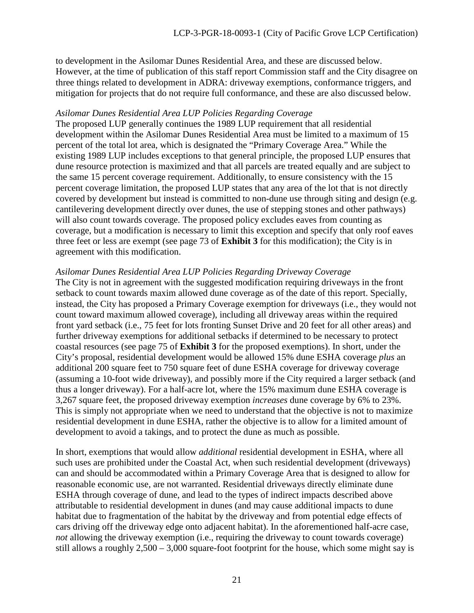to development in the Asilomar Dunes Residential Area, and these are discussed below. However, at the time of publication of this staff report Commission staff and the City disagree on three things related to development in ADRA: driveway exemptions, conformance triggers, and mitigation for projects that do not require full conformance, and these are also discussed below.

#### *Asilomar Dunes Residential Area LUP Policies Regarding Coverage*

The proposed LUP generally continues the 1989 LUP requirement that all residential development within the Asilomar Dunes Residential Area must be limited to a maximum of 15 percent of the total lot area, which is designated the "Primary Coverage Area." While the existing 1989 LUP includes exceptions to that general principle, the proposed LUP ensures that dune resource protection is maximized and that all parcels are treated equally and are subject to the same 15 percent coverage requirement. Additionally, to ensure consistency with the 15 percent coverage limitation, the proposed LUP states that any area of the lot that is not directly covered by development but instead is committed to non-dune use through siting and design (e.g. cantilevering development directly over dunes, the use of stepping stones and other pathways) will also count towards coverage. The proposed policy excludes eaves from counting as coverage, but a modification is necessary to limit this exception and specify that only roof eaves three feet or less are exempt (see page 73 of **Exhibit 3** for this modification); the City is in agreement with this modification.

#### *Asilomar Dunes Residential Area LUP Policies Regarding Driveway Coverage*

The City is not in agreement with the suggested modification requiring driveways in the front setback to count towards maxim allowed dune coverage as of the date of this report. Specially, instead, the City has proposed a Primary Coverage exemption for driveways (i.e., they would not count toward maximum allowed coverage), including all driveway areas within the required front yard setback (i.e., 75 feet for lots fronting Sunset Drive and 20 feet for all other areas) and further driveway exemptions for additional setbacks if determined to be necessary to protect coastal resources (see page 75 of **Exhibit 3** for the proposed exemptions). In short, under the City's proposal, residential development would be allowed 15% dune ESHA coverage *plus* an additional 200 square feet to 750 square feet of dune ESHA coverage for driveway coverage (assuming a 10-foot wide driveway), and possibly more if the City required a larger setback (and thus a longer driveway). For a half-acre lot, where the 15% maximum dune ESHA coverage is 3,267 square feet, the proposed driveway exemption *increases* dune coverage by 6% to 23%. This is simply not appropriate when we need to understand that the objective is not to maximize residential development in dune ESHA, rather the objective is to allow for a limited amount of development to avoid a takings, and to protect the dune as much as possible.

In short, exemptions that would allow *additional* residential development in ESHA, where all such uses are prohibited under the Coastal Act, when such residential development (driveways) can and should be accommodated within a Primary Coverage Area that is designed to allow for reasonable economic use, are not warranted. Residential driveways directly eliminate dune ESHA through coverage of dune, and lead to the types of indirect impacts described above attributable to residential development in dunes (and may cause additional impacts to dune habitat due to fragmentation of the habitat by the driveway and from potential edge effects of cars driving off the driveway edge onto adjacent habitat). In the aforementioned half-acre case, *not* allowing the driveway exemption (i.e., requiring the driveway to count towards coverage) still allows a roughly 2,500 – 3,000 square-foot footprint for the house, which some might say is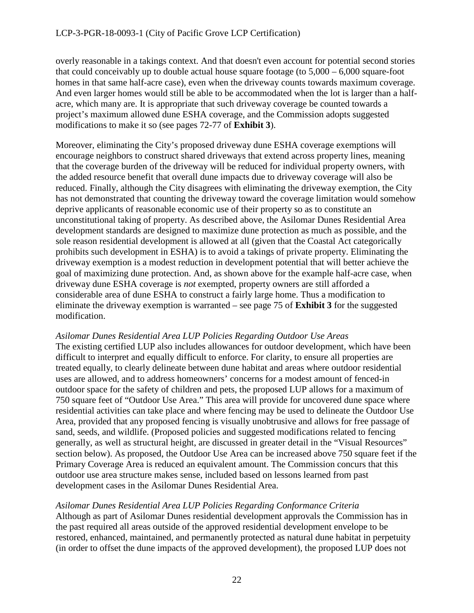overly reasonable in a takings context. And that doesn't even account for potential second stories that could conceivably up to double actual house square footage (to 5,000 – 6,000 square-foot homes in that same half-acre case), even when the driveway counts towards maximum coverage. And even larger homes would still be able to be accommodated when the lot is larger than a halfacre, which many are. It is appropriate that such driveway coverage be counted towards a project's maximum allowed dune ESHA coverage, and the Commission adopts suggested modifications to make it so (see pages 72-77 of **Exhibit 3**).

Moreover, eliminating the City's proposed driveway dune ESHA coverage exemptions will encourage neighbors to construct shared driveways that extend across property lines, meaning that the coverage burden of the driveway will be reduced for individual property owners, with the added resource benefit that overall dune impacts due to driveway coverage will also be reduced. Finally, although the City disagrees with eliminating the driveway exemption, the City has not demonstrated that counting the driveway toward the coverage limitation would somehow deprive applicants of reasonable economic use of their property so as to constitute an unconstitutional taking of property. As described above, the Asilomar Dunes Residential Area development standards are designed to maximize dune protection as much as possible, and the sole reason residential development is allowed at all (given that the Coastal Act categorically prohibits such development in ESHA) is to avoid a takings of private property. Eliminating the driveway exemption is a modest reduction in development potential that will better achieve the goal of maximizing dune protection. And, as shown above for the example half-acre case, when driveway dune ESHA coverage is *not* exempted, property owners are still afforded a considerable area of dune ESHA to construct a fairly large home. Thus a modification to eliminate the driveway exemption is warranted – see page 75 of **Exhibit 3** for the suggested modification.

### *Asilomar Dunes Residential Area LUP Policies Regarding Outdoor Use Areas*

The existing certified LUP also includes allowances for outdoor development, which have been difficult to interpret and equally difficult to enforce. For clarity, to ensure all properties are treated equally, to clearly delineate between dune habitat and areas where outdoor residential uses are allowed, and to address homeowners' concerns for a modest amount of fenced-in outdoor space for the safety of children and pets, the proposed LUP allows for a maximum of 750 square feet of "Outdoor Use Area." This area will provide for uncovered dune space where residential activities can take place and where fencing may be used to delineate the Outdoor Use Area, provided that any proposed fencing is visually unobtrusive and allows for free passage of sand, seeds, and wildlife. (Proposed policies and suggested modifications related to fencing generally, as well as structural height, are discussed in greater detail in the "Visual Resources" section below). As proposed, the Outdoor Use Area can be increased above 750 square feet if the Primary Coverage Area is reduced an equivalent amount. The Commission concurs that this outdoor use area structure makes sense, included based on lessons learned from past development cases in the Asilomar Dunes Residential Area.

### *Asilomar Dunes Residential Area LUP Policies Regarding Conformance Criteria*

Although as part of Asilomar Dunes residential development approvals the Commission has in the past required all areas outside of the approved residential development envelope to be restored, enhanced, maintained, and permanently protected as natural dune habitat in perpetuity (in order to offset the dune impacts of the approved development), the proposed LUP does not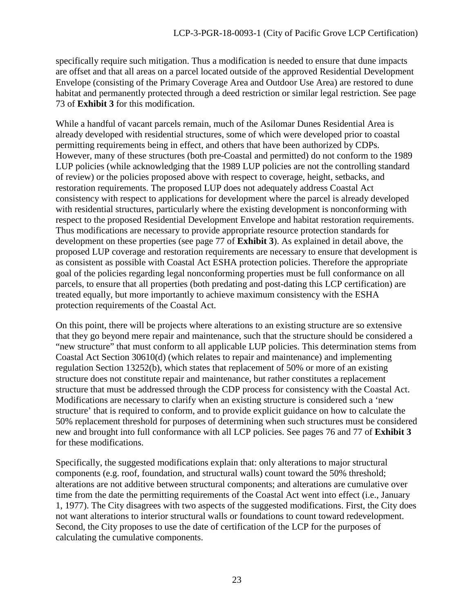specifically require such mitigation. Thus a modification is needed to ensure that dune impacts are offset and that all areas on a parcel located outside of the approved Residential Development Envelope (consisting of the Primary Coverage Area and Outdoor Use Area) are restored to dune habitat and permanently protected through a deed restriction or similar legal restriction. See page 73 of **Exhibit 3** for this modification.

While a handful of vacant parcels remain, much of the Asilomar Dunes Residential Area is already developed with residential structures, some of which were developed prior to coastal permitting requirements being in effect, and others that have been authorized by CDPs. However, many of these structures (both pre-Coastal and permitted) do not conform to the 1989 LUP policies (while acknowledging that the 1989 LUP policies are not the controlling standard of review) or the policies proposed above with respect to coverage, height, setbacks, and restoration requirements. The proposed LUP does not adequately address Coastal Act consistency with respect to applications for development where the parcel is already developed with residential structures, particularly where the existing development is nonconforming with respect to the proposed Residential Development Envelope and habitat restoration requirements. Thus modifications are necessary to provide appropriate resource protection standards for development on these properties (see page 77 of **Exhibit 3**). As explained in detail above, the proposed LUP coverage and restoration requirements are necessary to ensure that development is as consistent as possible with Coastal Act ESHA protection policies. Therefore the appropriate goal of the policies regarding legal nonconforming properties must be full conformance on all parcels, to ensure that all properties (both predating and post-dating this LCP certification) are treated equally, but more importantly to achieve maximum consistency with the ESHA protection requirements of the Coastal Act.

On this point, there will be projects where alterations to an existing structure are so extensive that they go beyond mere repair and maintenance, such that the structure should be considered a "new structure" that must conform to all applicable LUP policies. This determination stems from Coastal Act Section 30610(d) (which relates to repair and maintenance) and implementing regulation Section 13252(b), which states that replacement of 50% or more of an existing structure does not constitute repair and maintenance, but rather constitutes a replacement structure that must be addressed through the CDP process for consistency with the Coastal Act. Modifications are necessary to clarify when an existing structure is considered such a 'new structure' that is required to conform, and to provide explicit guidance on how to calculate the 50% replacement threshold for purposes of determining when such structures must be considered new and brought into full conformance with all LCP policies. See pages 76 and 77 of **Exhibit 3**  for these modifications.

Specifically, the suggested modifications explain that: only alterations to major structural components (e.g. roof, foundation, and structural walls) count toward the 50% threshold; alterations are not additive between structural components; and alterations are cumulative over time from the date the permitting requirements of the Coastal Act went into effect (i.e., January 1, 1977). The City disagrees with two aspects of the suggested modifications. First, the City does not want alterations to interior structural walls or foundations to count toward redevelopment. Second, the City proposes to use the date of certification of the LCP for the purposes of calculating the cumulative components.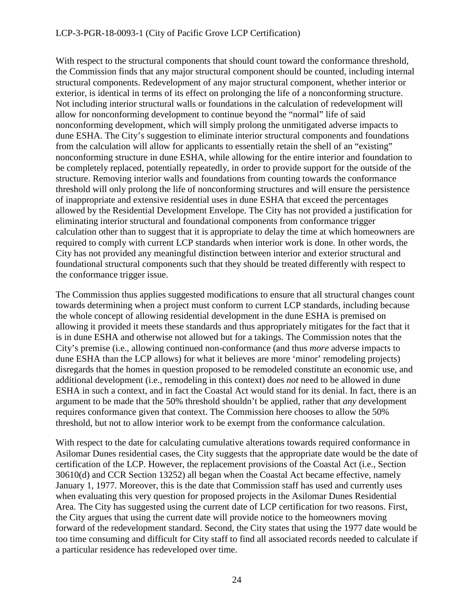#### LCP-3-PGR-18-0093-1 (City of Pacific Grove LCP Certification)

With respect to the structural components that should count toward the conformance threshold, the Commission finds that any major structural component should be counted, including internal structural components. Redevelopment of any major structural component, whether interior or exterior, is identical in terms of its effect on prolonging the life of a nonconforming structure. Not including interior structural walls or foundations in the calculation of redevelopment will allow for nonconforming development to continue beyond the "normal" life of said nonconforming development, which will simply prolong the unmitigated adverse impacts to dune ESHA. The City's suggestion to eliminate interior structural components and foundations from the calculation will allow for applicants to essentially retain the shell of an "existing" nonconforming structure in dune ESHA, while allowing for the entire interior and foundation to be completely replaced, potentially repeatedly, in order to provide support for the outside of the structure. Removing interior walls and foundations from counting towards the conformance threshold will only prolong the life of nonconforming structures and will ensure the persistence of inappropriate and extensive residential uses in dune ESHA that exceed the percentages allowed by the Residential Development Envelope. The City has not provided a justification for eliminating interior structural and foundational components from conformance trigger calculation other than to suggest that it is appropriate to delay the time at which homeowners are required to comply with current LCP standards when interior work is done. In other words, the City has not provided any meaningful distinction between interior and exterior structural and foundational structural components such that they should be treated differently with respect to the conformance trigger issue.

The Commission thus applies suggested modifications to ensure that all structural changes count towards determining when a project must conform to current LCP standards, including because the whole concept of allowing residential development in the dune ESHA is premised on allowing it provided it meets these standards and thus appropriately mitigates for the fact that it is in dune ESHA and otherwise not allowed but for a takings. The Commission notes that the City's premise (i.e., allowing continued non-conformance (and thus *more* adverse impacts to dune ESHA than the LCP allows) for what it believes are more 'minor' remodeling projects) disregards that the homes in question proposed to be remodeled constitute an economic use, and additional development (i.e., remodeling in this context) does *not* need to be allowed in dune ESHA in such a context, and in fact the Coastal Act would stand for its denial. In fact, there is an argument to be made that the 50% threshold shouldn't be applied, rather that *any* development requires conformance given that context. The Commission here chooses to allow the 50% threshold, but not to allow interior work to be exempt from the conformance calculation.

With respect to the date for calculating cumulative alterations towards required conformance in Asilomar Dunes residential cases, the City suggests that the appropriate date would be the date of certification of the LCP. However, the replacement provisions of the Coastal Act (i.e., Section 30610(d) and CCR Section 13252) all began when the Coastal Act became effective, namely January 1, 1977. Moreover, this is the date that Commission staff has used and currently uses when evaluating this very question for proposed projects in the Asilomar Dunes Residential Area. The City has suggested using the current date of LCP certification for two reasons. First, the City argues that using the current date will provide notice to the homeowners moving forward of the redevelopment standard. Second, the City states that using the 1977 date would be too time consuming and difficult for City staff to find all associated records needed to calculate if a particular residence has redeveloped over time.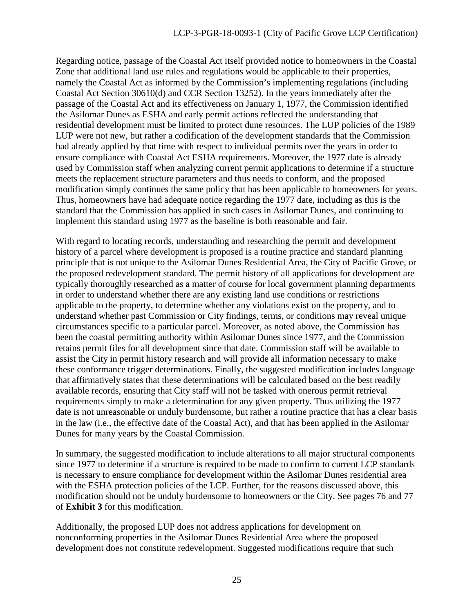Regarding notice, passage of the Coastal Act itself provided notice to homeowners in the Coastal Zone that additional land use rules and regulations would be applicable to their properties, namely the Coastal Act as informed by the Commission's implementing regulations (including Coastal Act Section 30610(d) and CCR Section 13252). In the years immediately after the passage of the Coastal Act and its effectiveness on January 1, 1977, the Commission identified the Asilomar Dunes as ESHA and early permit actions reflected the understanding that residential development must be limited to protect dune resources. The LUP policies of the 1989 LUP were not new, but rather a codification of the development standards that the Commission had already applied by that time with respect to individual permits over the years in order to ensure compliance with Coastal Act ESHA requirements. Moreover, the 1977 date is already used by Commission staff when analyzing current permit applications to determine if a structure meets the replacement structure parameters and thus needs to conform, and the proposed modification simply continues the same policy that has been applicable to homeowners for years. Thus, homeowners have had adequate notice regarding the 1977 date, including as this is the standard that the Commission has applied in such cases in Asilomar Dunes, and continuing to implement this standard using 1977 as the baseline is both reasonable and fair.

With regard to locating records, understanding and researching the permit and development history of a parcel where development is proposed is a routine practice and standard planning principle that is not unique to the Asilomar Dunes Residential Area, the City of Pacific Grove, or the proposed redevelopment standard. The permit history of all applications for development are typically thoroughly researched as a matter of course for local government planning departments in order to understand whether there are any existing land use conditions or restrictions applicable to the property, to determine whether any violations exist on the property, and to understand whether past Commission or City findings, terms, or conditions may reveal unique circumstances specific to a particular parcel. Moreover, as noted above, the Commission has been the coastal permitting authority within Asilomar Dunes since 1977, and the Commission retains permit files for all development since that date. Commission staff will be available to assist the City in permit history research and will provide all information necessary to make these conformance trigger determinations. Finally, the suggested modification includes language that affirmatively states that these determinations will be calculated based on the best readily available records, ensuring that City staff will not be tasked with onerous permit retrieval requirements simply to make a determination for any given property. Thus utilizing the 1977 date is not unreasonable or unduly burdensome, but rather a routine practice that has a clear basis in the law (i.e., the effective date of the Coastal Act), and that has been applied in the Asilomar Dunes for many years by the Coastal Commission.

In summary, the suggested modification to include alterations to all major structural components since 1977 to determine if a structure is required to be made to confirm to current LCP standards is necessary to ensure compliance for development within the Asilomar Dunes residential area with the ESHA protection policies of the LCP. Further, for the reasons discussed above, this modification should not be unduly burdensome to homeowners or the City. See pages 76 and 77 of **Exhibit 3** for this modification.

Additionally, the proposed LUP does not address applications for development on nonconforming properties in the Asilomar Dunes Residential Area where the proposed development does not constitute redevelopment. Suggested modifications require that such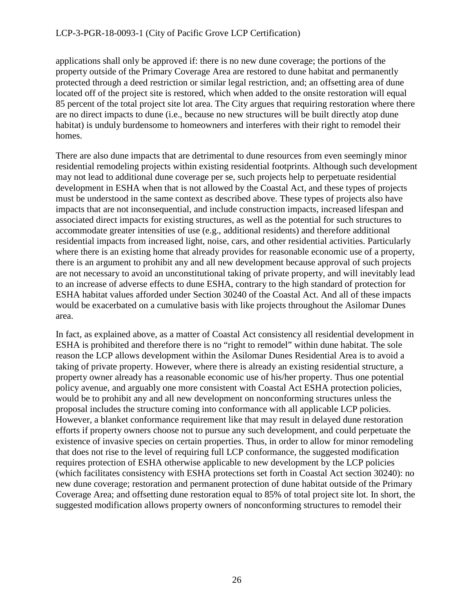applications shall only be approved if: there is no new dune coverage; the portions of the property outside of the Primary Coverage Area are restored to dune habitat and permanently protected through a deed restriction or similar legal restriction, and; an offsetting area of dune located off of the project site is restored, which when added to the onsite restoration will equal 85 percent of the total project site lot area. The City argues that requiring restoration where there are no direct impacts to dune (i.e., because no new structures will be built directly atop dune habitat) is unduly burdensome to homeowners and interferes with their right to remodel their homes.

There are also dune impacts that are detrimental to dune resources from even seemingly minor residential remodeling projects within existing residential footprints. Although such development may not lead to additional dune coverage per se, such projects help to perpetuate residential development in ESHA when that is not allowed by the Coastal Act, and these types of projects must be understood in the same context as described above. These types of projects also have impacts that are not inconsequential, and include construction impacts, increased lifespan and associated direct impacts for existing structures, as well as the potential for such structures to accommodate greater intensities of use (e.g., additional residents) and therefore additional residential impacts from increased light, noise, cars, and other residential activities. Particularly where there is an existing home that already provides for reasonable economic use of a property, there is an argument to prohibit any and all new development because approval of such projects are not necessary to avoid an unconstitutional taking of private property, and will inevitably lead to an increase of adverse effects to dune ESHA, contrary to the high standard of protection for ESHA habitat values afforded under Section 30240 of the Coastal Act. And all of these impacts would be exacerbated on a cumulative basis with like projects throughout the Asilomar Dunes area.

In fact, as explained above, as a matter of Coastal Act consistency all residential development in ESHA is prohibited and therefore there is no "right to remodel" within dune habitat. The sole reason the LCP allows development within the Asilomar Dunes Residential Area is to avoid a taking of private property. However, where there is already an existing residential structure, a property owner already has a reasonable economic use of his/her property. Thus one potential policy avenue, and arguably one more consistent with Coastal Act ESHA protection policies, would be to prohibit any and all new development on nonconforming structures unless the proposal includes the structure coming into conformance with all applicable LCP policies. However, a blanket conformance requirement like that may result in delayed dune restoration efforts if property owners choose not to pursue any such development, and could perpetuate the existence of invasive species on certain properties. Thus, in order to allow for minor remodeling that does not rise to the level of requiring full LCP conformance, the suggested modification requires protection of ESHA otherwise applicable to new development by the LCP policies (which facilitates consistency with ESHA protections set forth in Coastal Act section 30240): no new dune coverage; restoration and permanent protection of dune habitat outside of the Primary Coverage Area; and offsetting dune restoration equal to 85% of total project site lot. In short, the suggested modification allows property owners of nonconforming structures to remodel their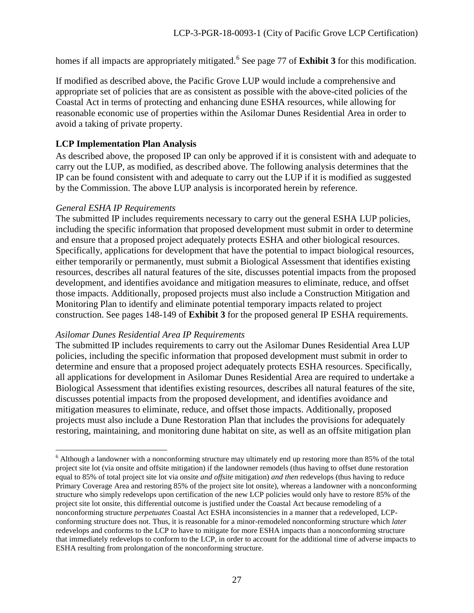homes if all impacts are appropriately mitigated.<sup>[6](#page-26-0)</sup> See page 77 of **Exhibit 3** for this modification.

If modified as described above, the Pacific Grove LUP would include a comprehensive and appropriate set of policies that are as consistent as possible with the above-cited policies of the Coastal Act in terms of protecting and enhancing dune ESHA resources, while allowing for reasonable economic use of properties within the Asilomar Dunes Residential Area in order to avoid a taking of private property.

#### **LCP Implementation Plan Analysis**

As described above, the proposed IP can only be approved if it is consistent with and adequate to carry out the LUP, as modified, as described above. The following analysis determines that the IP can be found consistent with and adequate to carry out the LUP if it is modified as suggested by the Commission. The above LUP analysis is incorporated herein by reference.

#### *General ESHA IP Requirements*

 $\overline{a}$ 

The submitted IP includes requirements necessary to carry out the general ESHA LUP policies, including the specific information that proposed development must submit in order to determine and ensure that a proposed project adequately protects ESHA and other biological resources. Specifically, applications for development that have the potential to impact biological resources, either temporarily or permanently, must submit a Biological Assessment that identifies existing resources, describes all natural features of the site, discusses potential impacts from the proposed development, and identifies avoidance and mitigation measures to eliminate, reduce, and offset those impacts. Additionally, proposed projects must also include a Construction Mitigation and Monitoring Plan to identify and eliminate potential temporary impacts related to project construction. See pages 148-149 of **Exhibit 3** for the proposed general IP ESHA requirements.

#### *Asilomar Dunes Residential Area IP Requirements*

The submitted IP includes requirements to carry out the Asilomar Dunes Residential Area LUP policies, including the specific information that proposed development must submit in order to determine and ensure that a proposed project adequately protects ESHA resources. Specifically, all applications for development in Asilomar Dunes Residential Area are required to undertake a Biological Assessment that identifies existing resources, describes all natural features of the site, discusses potential impacts from the proposed development, and identifies avoidance and mitigation measures to eliminate, reduce, and offset those impacts. Additionally, proposed projects must also include a Dune Restoration Plan that includes the provisions for adequately restoring, maintaining, and monitoring dune habitat on site, as well as an offsite mitigation plan

<span id="page-26-0"></span><sup>&</sup>lt;sup>6</sup> Although a landowner with a nonconforming structure may ultimately end up restoring more than 85% of the total project site lot (via onsite and offsite mitigation) if the landowner remodels (thus having to offset dune restoration equal to 85% of total project site lot via onsite *and offsite* mitigation) *and then* redevelops (thus having to reduce Primary Coverage Area and restoring 85% of the project site lot onsite), whereas a landowner with a nonconforming structure who simply redevelops upon certification of the new LCP policies would only have to restore 85% of the project site lot onsite, this differential outcome is justified under the Coastal Act because remodeling of a nonconforming structure *perpetuates* Coastal Act ESHA inconsistencies in a manner that a redeveloped, LCPconforming structure does not. Thus, it is reasonable for a minor-remodeled nonconforming structure which *later* redevelops and conforms to the LCP to have to mitigate for more ESHA impacts than a nonconforming structure that immediately redevelops to conform to the LCP, in order to account for the additional time of adverse impacts to ESHA resulting from prolongation of the nonconforming structure.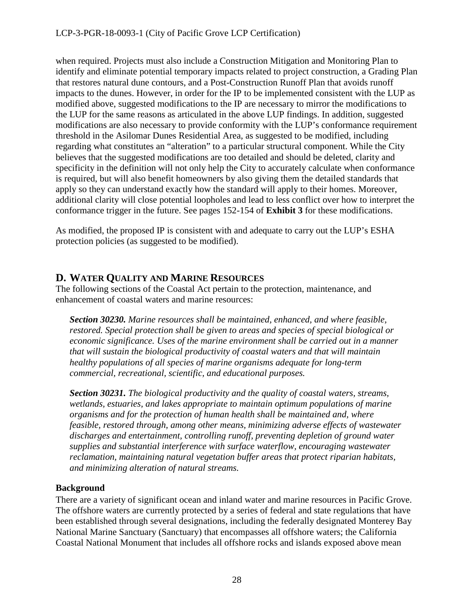when required. Projects must also include a Construction Mitigation and Monitoring Plan to identify and eliminate potential temporary impacts related to project construction, a Grading Plan that restores natural dune contours, and a Post-Construction Runoff Plan that avoids runoff impacts to the dunes. However, in order for the IP to be implemented consistent with the LUP as modified above, suggested modifications to the IP are necessary to mirror the modifications to the LUP for the same reasons as articulated in the above LUP findings. In addition, suggested modifications are also necessary to provide conformity with the LUP's conformance requirement threshold in the Asilomar Dunes Residential Area, as suggested to be modified, including regarding what constitutes an "alteration" to a particular structural component. While the City believes that the suggested modifications are too detailed and should be deleted, clarity and specificity in the definition will not only help the City to accurately calculate when conformance is required, but will also benefit homeowners by also giving them the detailed standards that apply so they can understand exactly how the standard will apply to their homes. Moreover, additional clarity will close potential loopholes and lead to less conflict over how to interpret the conformance trigger in the future. See pages 152-154 of **Exhibit 3** for these modifications.

As modified, the proposed IP is consistent with and adequate to carry out the LUP's ESHA protection policies (as suggested to be modified).

## <span id="page-27-0"></span>**D. WATER QUALITY AND MARINE RESOURCES**

The following sections of the Coastal Act pertain to the protection, maintenance, and enhancement of coastal waters and marine resources:

*Section 30230. Marine resources shall be maintained, enhanced, and where feasible, restored. Special protection shall be given to areas and species of special biological or economic significance. Uses of the marine environment shall be carried out in a manner that will sustain the biological productivity of coastal waters and that will maintain healthy populations of all species of marine organisms adequate for long-term commercial, recreational, scientific, and educational purposes.* 

*Section 30231. The biological productivity and the quality of coastal waters, streams, wetlands, estuaries, and lakes appropriate to maintain optimum populations of marine organisms and for the protection of human health shall be maintained and, where feasible, restored through, among other means, minimizing adverse effects of wastewater discharges and entertainment, controlling runoff, preventing depletion of ground water supplies and substantial interference with surface waterflow, encouraging wastewater reclamation, maintaining natural vegetation buffer areas that protect riparian habitats, and minimizing alteration of natural streams.* 

## **Background**

There are a variety of significant ocean and inland water and marine resources in Pacific Grove. The offshore waters are currently protected by a series of federal and state regulations that have been established through several designations, including the federally designated Monterey Bay National Marine Sanctuary (Sanctuary) that encompasses all offshore waters; the California Coastal National Monument that includes all offshore rocks and islands exposed above mean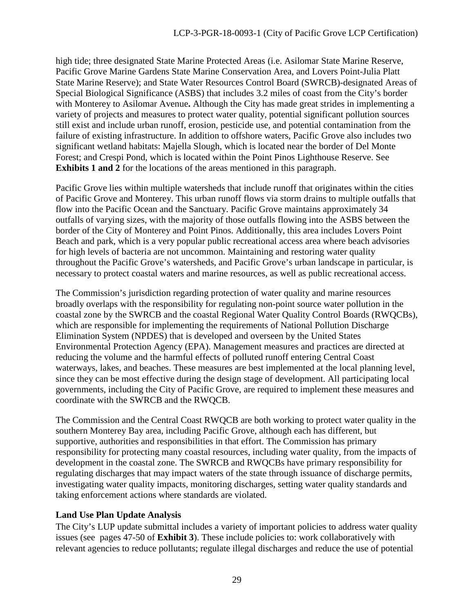high tide; three designated State Marine Protected Areas (i.e. Asilomar State Marine Reserve, Pacific Grove Marine Gardens State Marine Conservation Area, and Lovers Point-Julia Platt State Marine Reserve); and State Water Resources Control Board (SWRCB)-designated Areas of Special Biological Significance (ASBS) that includes 3.2 miles of coast from the City's border with Monterey to Asilomar Avenue**.** Although the City has made great strides in implementing a variety of projects and measures to protect water quality, potential significant pollution sources still exist and include urban runoff, erosion, pesticide use, and potential contamination from the failure of existing infrastructure. In addition to offshore waters, Pacific Grove also includes two significant wetland habitats: Majella Slough, which is located near the border of Del Monte Forest; and Crespi Pond, which is located within the Point Pinos Lighthouse Reserve. See **Exhibits 1 and 2** for the locations of the areas mentioned in this paragraph.

Pacific Grove lies within multiple watersheds that include runoff that originates within the cities of Pacific Grove and Monterey. This urban runoff flows via storm drains to multiple outfalls that flow into the Pacific Ocean and the Sanctuary. Pacific Grove maintains approximately 34 outfalls of varying sizes, with the majority of those outfalls flowing into the ASBS between the border of the City of Monterey and Point Pinos. Additionally, this area includes Lovers Point Beach and park, which is a very popular public recreational access area where beach advisories for high levels of bacteria are not uncommon. Maintaining and restoring water quality throughout the Pacific Grove's watersheds, and Pacific Grove's urban landscape in particular, is necessary to protect coastal waters and marine resources, as well as public recreational access.

The Commission's jurisdiction regarding protection of water quality and marine resources broadly overlaps with the responsibility for regulating non-point source water pollution in the coastal zone by the SWRCB and the coastal Regional Water Quality Control Boards (RWQCBs), which are responsible for implementing the requirements of National Pollution Discharge Elimination System (NPDES) that is developed and overseen by the United States Environmental Protection Agency (EPA). Management measures and practices are directed at reducing the volume and the harmful effects of polluted runoff entering Central Coast waterways, lakes, and beaches. These measures are best implemented at the local planning level, since they can be most effective during the design stage of development. All participating local governments, including the City of Pacific Grove, are required to implement these measures and coordinate with the SWRCB and the RWQCB.

The Commission and the Central Coast RWQCB are both working to protect water quality in the southern Monterey Bay area, including Pacific Grove, although each has different, but supportive, authorities and responsibilities in that effort. The Commission has primary responsibility for protecting many coastal resources, including water quality, from the impacts of development in the coastal zone. The SWRCB and RWQCBs have primary responsibility for regulating discharges that may impact waters of the state through issuance of discharge permits, investigating water quality impacts, monitoring discharges, setting water quality standards and taking enforcement actions where standards are violated.

## **Land Use Plan Update Analysis**

The City's LUP update submittal includes a variety of important policies to address water quality issues (see pages 47-50 of **Exhibit 3**). These include policies to: work collaboratively with relevant agencies to reduce pollutants; regulate illegal discharges and reduce the use of potential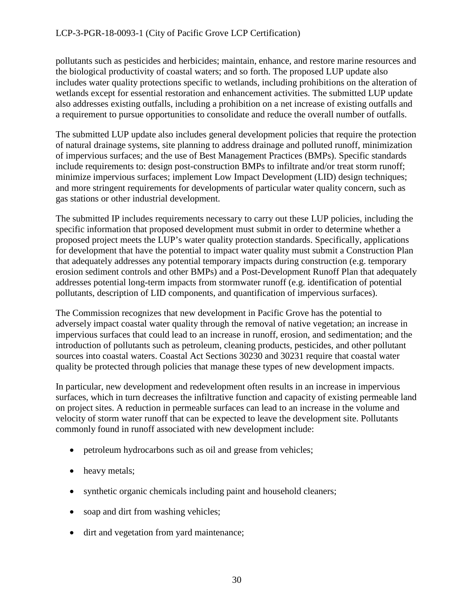pollutants such as pesticides and herbicides; maintain, enhance, and restore marine resources and the biological productivity of coastal waters; and so forth. The proposed LUP update also includes water quality protections specific to wetlands, including prohibitions on the alteration of wetlands except for essential restoration and enhancement activities. The submitted LUP update also addresses existing outfalls, including a prohibition on a net increase of existing outfalls and a requirement to pursue opportunities to consolidate and reduce the overall number of outfalls.

The submitted LUP update also includes general development policies that require the protection of natural drainage systems, site planning to address drainage and polluted runoff, minimization of impervious surfaces; and the use of Best Management Practices (BMPs). Specific standards include requirements to: design post-construction BMPs to infiltrate and/or treat storm runoff; minimize impervious surfaces; implement Low Impact Development (LID) design techniques; and more stringent requirements for developments of particular water quality concern, such as gas stations or other industrial development.

The submitted IP includes requirements necessary to carry out these LUP policies, including the specific information that proposed development must submit in order to determine whether a proposed project meets the LUP's water quality protection standards. Specifically, applications for development that have the potential to impact water quality must submit a Construction Plan that adequately addresses any potential temporary impacts during construction (e.g. temporary erosion sediment controls and other BMPs) and a Post-Development Runoff Plan that adequately addresses potential long-term impacts from stormwater runoff (e.g. identification of potential pollutants, description of LID components, and quantification of impervious surfaces).

The Commission recognizes that new development in Pacific Grove has the potential to adversely impact coastal water quality through the removal of native vegetation; an increase in impervious surfaces that could lead to an increase in runoff, erosion, and sedimentation; and the introduction of pollutants such as petroleum, cleaning products, pesticides, and other pollutant sources into coastal waters. Coastal Act Sections 30230 and 30231 require that coastal water quality be protected through policies that manage these types of new development impacts.

In particular, new development and redevelopment often results in an increase in impervious surfaces, which in turn decreases the infiltrative function and capacity of existing permeable land on project sites. A reduction in permeable surfaces can lead to an increase in the volume and velocity of storm water runoff that can be expected to leave the development site. Pollutants commonly found in runoff associated with new development include:

- petroleum hydrocarbons such as oil and grease from vehicles;
- heavy metals;
- synthetic organic chemicals including paint and household cleaners;
- soap and dirt from washing vehicles;
- dirt and vegetation from yard maintenance;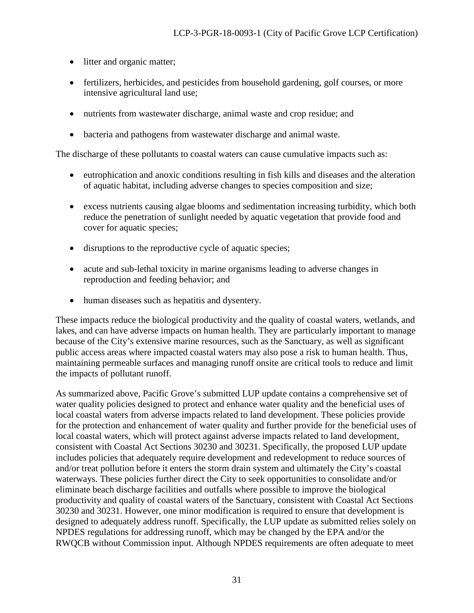- litter and organic matter;
- fertilizers, herbicides, and pesticides from household gardening, golf courses, or more intensive agricultural land use;
- nutrients from wastewater discharge, animal waste and crop residue; and
- bacteria and pathogens from wastewater discharge and animal waste.

The discharge of these pollutants to coastal waters can cause cumulative impacts such as:

- eutrophication and anoxic conditions resulting in fish kills and diseases and the alteration of aquatic habitat, including adverse changes to species composition and size;
- excess nutrients causing algae blooms and sedimentation increasing turbidity, which both reduce the penetration of sunlight needed by aquatic vegetation that provide food and cover for aquatic species;
- disruptions to the reproductive cycle of aquatic species;
- acute and sub-lethal toxicity in marine organisms leading to adverse changes in reproduction and feeding behavior; and
- human diseases such as hepatitis and dysentery.

These impacts reduce the biological productivity and the quality of coastal waters, wetlands, and lakes, and can have adverse impacts on human health. They are particularly important to manage because of the City's extensive marine resources, such as the Sanctuary, as well as significant public access areas where impacted coastal waters may also pose a risk to human health. Thus, maintaining permeable surfaces and managing runoff onsite are critical tools to reduce and limit the impacts of pollutant runoff.

As summarized above, Pacific Grove's submitted LUP update contains a comprehensive set of water quality policies designed to protect and enhance water quality and the beneficial uses of local coastal waters from adverse impacts related to land development. These policies provide for the protection and enhancement of water quality and further provide for the beneficial uses of local coastal waters, which will protect against adverse impacts related to land development, consistent with Coastal Act Sections 30230 and 30231. Specifically, the proposed LUP update includes policies that adequately require development and redevelopment to reduce sources of and/or treat pollution before it enters the storm drain system and ultimately the City's coastal waterways. These policies further direct the City to seek opportunities to consolidate and/or eliminate beach discharge facilities and outfalls where possible to improve the biological productivity and quality of coastal waters of the Sanctuary, consistent with Coastal Act Sections 30230 and 30231. However, one minor modification is required to ensure that development is designed to adequately address runoff. Specifically, the LUP update as submitted relies solely on NPDES regulations for addressing runoff, which may be changed by the EPA and/or the RWQCB without Commission input. Although NPDES requirements are often adequate to meet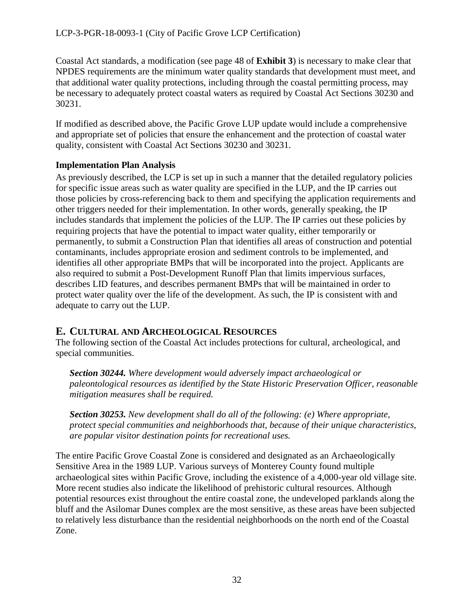Coastal Act standards, a modification (see page 48 of **Exhibit 3**) is necessary to make clear that NPDES requirements are the minimum water quality standards that development must meet, and that additional water quality protections, including through the coastal permitting process, may be necessary to adequately protect coastal waters as required by Coastal Act Sections 30230 and 30231.

If modified as described above, the Pacific Grove LUP update would include a comprehensive and appropriate set of policies that ensure the enhancement and the protection of coastal water quality, consistent with Coastal Act Sections 30230 and 30231.

## **Implementation Plan Analysis**

As previously described, the LCP is set up in such a manner that the detailed regulatory policies for specific issue areas such as water quality are specified in the LUP, and the IP carries out those policies by cross-referencing back to them and specifying the application requirements and other triggers needed for their implementation. In other words, generally speaking, the IP includes standards that implement the policies of the LUP. The IP carries out these policies by requiring projects that have the potential to impact water quality, either temporarily or permanently, to submit a Construction Plan that identifies all areas of construction and potential contaminants, includes appropriate erosion and sediment controls to be implemented, and identifies all other appropriate BMPs that will be incorporated into the project. Applicants are also required to submit a Post-Development Runoff Plan that limits impervious surfaces, describes LID features, and describes permanent BMPs that will be maintained in order to protect water quality over the life of the development. As such, the IP is consistent with and adequate to carry out the LUP.

## <span id="page-31-0"></span>**E. CULTURAL AND ARCHEOLOGICAL RESOURCES**

The following section of the Coastal Act includes protections for cultural, archeological, and special communities.

*Section 30244. Where development would adversely impact archaeological or paleontological resources as identified by the State Historic Preservation Officer, reasonable mitigation measures shall be required.* 

*Section 30253. New development shall do all of the following: (e) Where appropriate, protect special communities and neighborhoods that, because of their unique characteristics, are popular visitor destination points for recreational uses.* 

The entire Pacific Grove Coastal Zone is considered and designated as an Archaeologically Sensitive Area in the 1989 LUP. Various surveys of Monterey County found multiple archaeological sites within Pacific Grove, including the existence of a 4,000-year old village site. More recent studies also indicate the likelihood of prehistoric cultural resources. Although potential resources exist throughout the entire coastal zone, the undeveloped parklands along the bluff and the Asilomar Dunes complex are the most sensitive, as these areas have been subjected to relatively less disturbance than the residential neighborhoods on the north end of the Coastal Zone.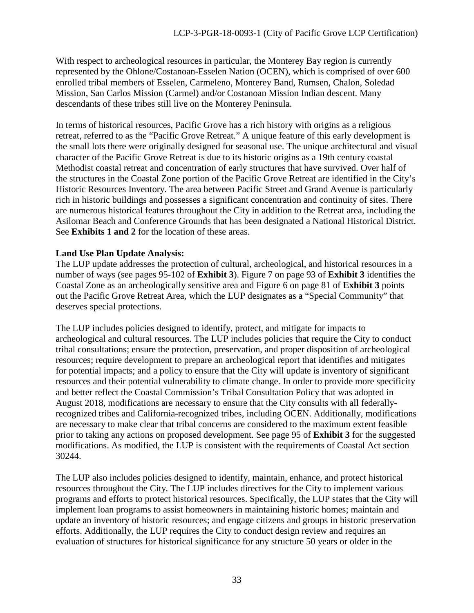With respect to archeological resources in particular, the Monterey Bay region is currently represented by the Ohlone/Costanoan-Esselen Nation (OCEN), which is comprised of over 600 enrolled tribal members of Esselen, Carmeleno, Monterey Band, Rumsen, Chalon, Soledad Mission, San Carlos Mission (Carmel) and/or Costanoan Mission Indian descent. Many descendants of these tribes still live on the Monterey Peninsula.

In terms of historical resources, Pacific Grove has a rich history with origins as a religious retreat, referred to as the "Pacific Grove Retreat." A unique feature of this early development is the small lots there were originally designed for seasonal use. The unique architectural and visual character of the Pacific Grove Retreat is due to its historic origins as a 19th century coastal Methodist coastal retreat and concentration of early structures that have survived. Over half of the structures in the Coastal Zone portion of the Pacific Grove Retreat are identified in the City's Historic Resources Inventory. The area between Pacific Street and Grand Avenue is particularly rich in historic buildings and possesses a significant concentration and continuity of sites. There are numerous historical features throughout the City in addition to the Retreat area, including the Asilomar Beach and Conference Grounds that has been designated a National Historical District. See **Exhibits 1 and 2** for the location of these areas.

### **Land Use Plan Update Analysis:**

The LUP update addresses the protection of cultural, archeological, and historical resources in a number of ways (see pages 95-102 of **Exhibit 3**). Figure 7 on page 93 of **Exhibit 3** identifies the Coastal Zone as an archeologically sensitive area and Figure 6 on page 81 of **Exhibit 3** points out the Pacific Grove Retreat Area, which the LUP designates as a "Special Community" that deserves special protections.

The LUP includes policies designed to identify, protect, and mitigate for impacts to archeological and cultural resources. The LUP includes policies that require the City to conduct tribal consultations; ensure the protection, preservation, and proper disposition of archeological resources; require development to prepare an archeological report that identifies and mitigates for potential impacts; and a policy to ensure that the City will update is inventory of significant resources and their potential vulnerability to climate change. In order to provide more specificity and better reflect the Coastal Commission's Tribal Consultation Policy that was adopted in August 2018, modifications are necessary to ensure that the City consults with all federallyrecognized tribes and California-recognized tribes, including OCEN. Additionally, modifications are necessary to make clear that tribal concerns are considered to the maximum extent feasible prior to taking any actions on proposed development. See page 95 of **Exhibit 3** for the suggested modifications. As modified, the LUP is consistent with the requirements of Coastal Act section 30244.

The LUP also includes policies designed to identify, maintain, enhance, and protect historical resources throughout the City. The LUP includes directives for the City to implement various programs and efforts to protect historical resources. Specifically, the LUP states that the City will implement loan programs to assist homeowners in maintaining historic homes; maintain and update an inventory of historic resources; and engage citizens and groups in historic preservation efforts. Additionally, the LUP requires the City to conduct design review and requires an evaluation of structures for historical significance for any structure 50 years or older in the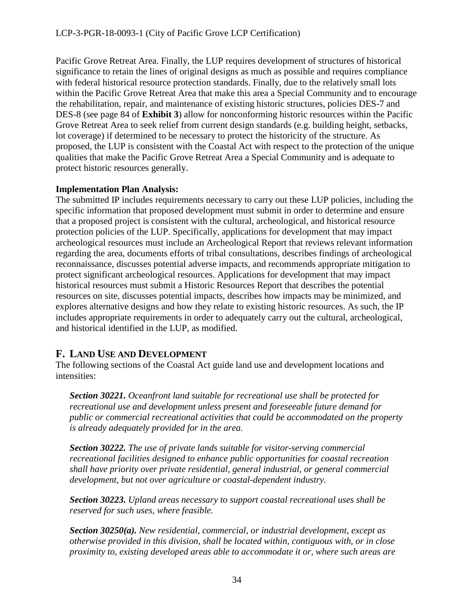Pacific Grove Retreat Area. Finally, the LUP requires development of structures of historical significance to retain the lines of original designs as much as possible and requires compliance with federal historical resource protection standards. Finally, due to the relatively small lots within the Pacific Grove Retreat Area that make this area a Special Community and to encourage the rehabilitation, repair, and maintenance of existing historic structures, policies DES-7 and DES-8 (see page 84 of **Exhibit 3**) allow for nonconforming historic resources within the Pacific Grove Retreat Area to seek relief from current design standards (e.g. building height, setbacks, lot coverage) if determined to be necessary to protect the historicity of the structure. As proposed, the LUP is consistent with the Coastal Act with respect to the protection of the unique qualities that make the Pacific Grove Retreat Area a Special Community and is adequate to protect historic resources generally.

## **Implementation Plan Analysis:**

The submitted IP includes requirements necessary to carry out these LUP policies, including the specific information that proposed development must submit in order to determine and ensure that a proposed project is consistent with the cultural, archeological, and historical resource protection policies of the LUP. Specifically, applications for development that may impact archeological resources must include an Archeological Report that reviews relevant information regarding the area, documents efforts of tribal consultations, describes findings of archeological reconnaissance, discusses potential adverse impacts, and recommends appropriate mitigation to protect significant archeological resources. Applications for development that may impact historical resources must submit a Historic Resources Report that describes the potential resources on site, discusses potential impacts, describes how impacts may be minimized, and explores alternative designs and how they relate to existing historic resources. As such, the IP includes appropriate requirements in order to adequately carry out the cultural, archeological, and historical identified in the LUP, as modified.

## <span id="page-33-0"></span>**F. LAND USE AND DEVELOPMENT**

The following sections of the Coastal Act guide land use and development locations and intensities:

*Section 30221. Oceanfront land suitable for recreational use shall be protected for recreational use and development unless present and foreseeable future demand for public or commercial recreational activities that could be accommodated on the property is already adequately provided for in the area.* 

*Section 30222. The use of private lands suitable for visitor-serving commercial recreational facilities designed to enhance public opportunities for coastal recreation shall have priority over private residential, general industrial, or general commercial development, but not over agriculture or coastal-dependent industry.* 

*Section 30223. Upland areas necessary to support coastal recreational uses shall be reserved for such uses, where feasible.* 

*Section 30250(a). New residential, commercial, or industrial development, except as otherwise provided in this division, shall be located within, contiguous with, or in close proximity to, existing developed areas able to accommodate it or, where such areas are*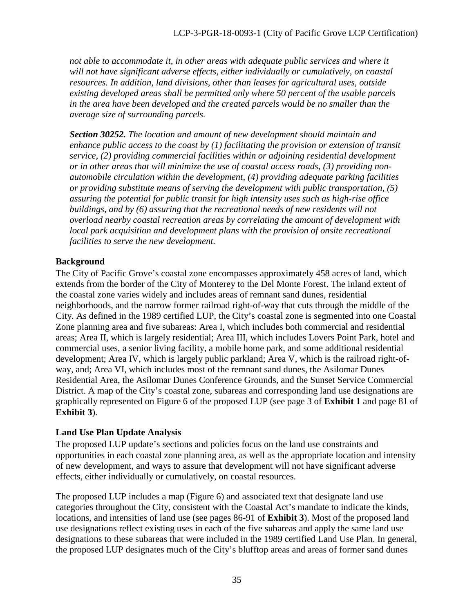*not able to accommodate it, in other areas with adequate public services and where it will not have significant adverse effects, either individually or cumulatively, on coastal resources. In addition, land divisions, other than leases for agricultural uses, outside existing developed areas shall be permitted only where 50 percent of the usable parcels in the area have been developed and the created parcels would be no smaller than the average size of surrounding parcels.*

*Section 30252. The location and amount of new development should maintain and enhance public access to the coast by (1) facilitating the provision or extension of transit service, (2) providing commercial facilities within or adjoining residential development or in other areas that will minimize the use of coastal access roads, (3) providing nonautomobile circulation within the development, (4) providing adequate parking facilities or providing substitute means of serving the development with public transportation, (5) assuring the potential for public transit for high intensity uses such as high-rise office buildings, and by (6) assuring that the recreational needs of new residents will not overload nearby coastal recreation areas by correlating the amount of development with local park acquisition and development plans with the provision of onsite recreational facilities to serve the new development.*

## **Background**

The City of Pacific Grove's coastal zone encompasses approximately 458 acres of land, which extends from the border of the City of Monterey to the Del Monte Forest. The inland extent of the coastal zone varies widely and includes areas of remnant sand dunes, residential neighborhoods, and the narrow former railroad right-of-way that cuts through the middle of the City. As defined in the 1989 certified LUP, the City's coastal zone is segmented into one Coastal Zone planning area and five subareas: Area I, which includes both commercial and residential areas; Area II, which is largely residential; Area III, which includes Lovers Point Park, hotel and commercial uses, a senior living facility, a mobile home park, and some additional residential development; Area IV, which is largely public parkland; Area V, which is the railroad right-ofway, and; Area VI, which includes most of the remnant sand dunes, the Asilomar Dunes Residential Area, the Asilomar Dunes Conference Grounds, and the Sunset Service Commercial District. A map of the City's coastal zone, subareas and corresponding land use designations are graphically represented on Figure 6 of the proposed LUP (see page 3 of **Exhibit 1** and page 81 of **Exhibit 3**).

## **Land Use Plan Update Analysis**

The proposed LUP update's sections and policies focus on the land use constraints and opportunities in each coastal zone planning area, as well as the appropriate location and intensity of new development, and ways to assure that development will not have significant adverse effects, either individually or cumulatively, on coastal resources.

The proposed LUP includes a map (Figure 6) and associated text that designate land use categories throughout the City, consistent with the Coastal Act's mandate to indicate the kinds, locations, and intensities of land use (see pages 86-91 of **Exhibit 3**). Most of the proposed land use designations reflect existing uses in each of the five subareas and apply the same land use designations to these subareas that were included in the 1989 certified Land Use Plan. In general, the proposed LUP designates much of the City's blufftop areas and areas of former sand dunes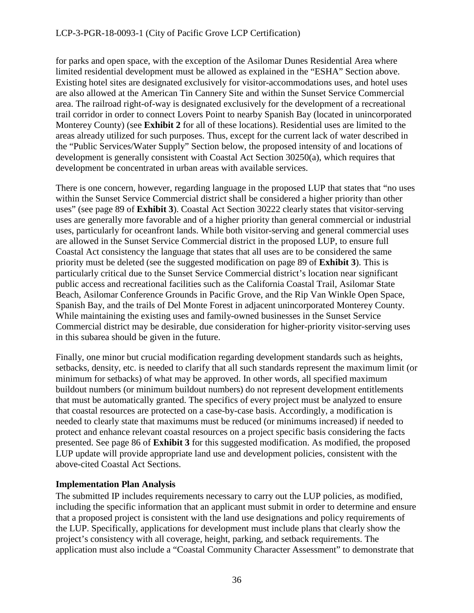for parks and open space, with the exception of the Asilomar Dunes Residential Area where limited residential development must be allowed as explained in the "ESHA" Section above. Existing hotel sites are designated exclusively for visitor-accommodations uses, and hotel uses are also allowed at the American Tin Cannery Site and within the Sunset Service Commercial area. The railroad right-of-way is designated exclusively for the development of a recreational trail corridor in order to connect Lovers Point to nearby Spanish Bay (located in unincorporated Monterey County) (see **Exhibit 2** for all of these locations). Residential uses are limited to the areas already utilized for such purposes. Thus, except for the current lack of water described in the "Public Services/Water Supply" Section below, the proposed intensity of and locations of development is generally consistent with Coastal Act Section 30250(a), which requires that development be concentrated in urban areas with available services.

There is one concern, however, regarding language in the proposed LUP that states that "no uses within the Sunset Service Commercial district shall be considered a higher priority than other uses" (see page 89 of **Exhibit 3**). Coastal Act Section 30222 clearly states that visitor-serving uses are generally more favorable and of a higher priority than general commercial or industrial uses, particularly for oceanfront lands. While both visitor-serving and general commercial uses are allowed in the Sunset Service Commercial district in the proposed LUP, to ensure full Coastal Act consistency the language that states that all uses are to be considered the same priority must be deleted (see the suggested modification on page 89 of **Exhibit 3**). This is particularly critical due to the Sunset Service Commercial district's location near significant public access and recreational facilities such as the California Coastal Trail, Asilomar State Beach, Asilomar Conference Grounds in Pacific Grove, and the Rip Van Winkle Open Space, Spanish Bay, and the trails of Del Monte Forest in adjacent unincorporated Monterey County. While maintaining the existing uses and family-owned businesses in the Sunset Service Commercial district may be desirable, due consideration for higher-priority visitor-serving uses in this subarea should be given in the future.

Finally, one minor but crucial modification regarding development standards such as heights, setbacks, density, etc. is needed to clarify that all such standards represent the maximum limit (or minimum for setbacks) of what may be approved. In other words, all specified maximum buildout numbers (or minimum buildout numbers) do not represent development entitlements that must be automatically granted. The specifics of every project must be analyzed to ensure that coastal resources are protected on a case-by-case basis. Accordingly, a modification is needed to clearly state that maximums must be reduced (or minimums increased) if needed to protect and enhance relevant coastal resources on a project specific basis considering the facts presented. See page 86 of **Exhibit 3** for this suggested modification. As modified, the proposed LUP update will provide appropriate land use and development policies, consistent with the above-cited Coastal Act Sections.

## **Implementation Plan Analysis**

The submitted IP includes requirements necessary to carry out the LUP policies, as modified, including the specific information that an applicant must submit in order to determine and ensure that a proposed project is consistent with the land use designations and policy requirements of the LUP. Specifically, applications for development must include plans that clearly show the project's consistency with all coverage, height, parking, and setback requirements. The application must also include a "Coastal Community Character Assessment" to demonstrate that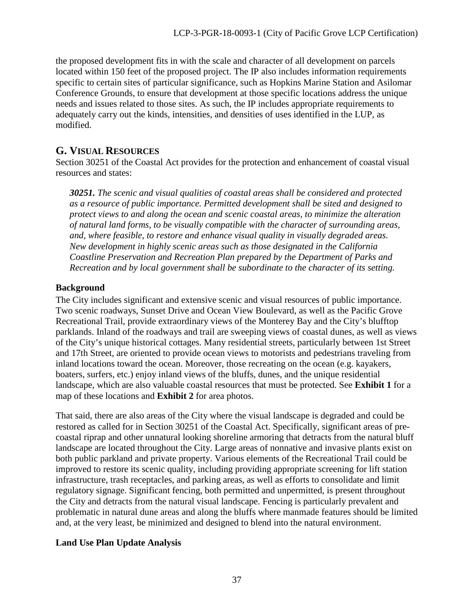the proposed development fits in with the scale and character of all development on parcels located within 150 feet of the proposed project. The IP also includes information requirements specific to certain sites of particular significance, such as Hopkins Marine Station and Asilomar Conference Grounds, to ensure that development at those specific locations address the unique needs and issues related to those sites. As such, the IP includes appropriate requirements to adequately carry out the kinds, intensities, and densities of uses identified in the LUP, as modified.

## <span id="page-36-0"></span>**G. VISUAL RESOURCES**

Section 30251 of the Coastal Act provides for the protection and enhancement of coastal visual resources and states:

*30251. The scenic and visual qualities of coastal areas shall be considered and protected as a resource of public importance. Permitted development shall be sited and designed to protect views to and along the ocean and scenic coastal areas, to minimize the alteration of natural land forms, to be visually compatible with the character of surrounding areas, and, where feasible, to restore and enhance visual quality in visually degraded areas. New development in highly scenic areas such as those designated in the California Coastline Preservation and Recreation Plan prepared by the Department of Parks and Recreation and by local government shall be subordinate to the character of its setting.* 

## **Background**

The City includes significant and extensive scenic and visual resources of public importance. Two scenic roadways, Sunset Drive and Ocean View Boulevard, as well as the Pacific Grove Recreational Trail, provide extraordinary views of the Monterey Bay and the City's blufftop parklands. Inland of the roadways and trail are sweeping views of coastal dunes, as well as views of the City's unique historical cottages. Many residential streets, particularly between 1st Street and 17th Street, are oriented to provide ocean views to motorists and pedestrians traveling from inland locations toward the ocean. Moreover, those recreating on the ocean (e.g. kayakers, boaters, surfers, etc.) enjoy inland views of the bluffs, dunes, and the unique residential landscape, which are also valuable coastal resources that must be protected. See **Exhibit 1** for a map of these locations and **Exhibit 2** for area photos.

That said, there are also areas of the City where the visual landscape is degraded and could be restored as called for in Section 30251 of the Coastal Act. Specifically, significant areas of precoastal riprap and other unnatural looking shoreline armoring that detracts from the natural bluff landscape are located throughout the City. Large areas of nonnative and invasive plants exist on both public parkland and private property. Various elements of the Recreational Trail could be improved to restore its scenic quality, including providing appropriate screening for lift station infrastructure, trash receptacles, and parking areas, as well as efforts to consolidate and limit regulatory signage. Significant fencing, both permitted and unpermitted, is present throughout the City and detracts from the natural visual landscape. Fencing is particularly prevalent and problematic in natural dune areas and along the bluffs where manmade features should be limited and, at the very least, be minimized and designed to blend into the natural environment.

## **Land Use Plan Update Analysis**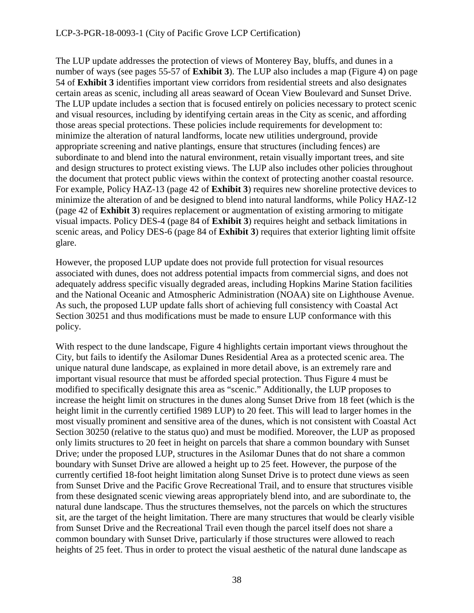The LUP update addresses the protection of views of Monterey Bay, bluffs, and dunes in a number of ways (see pages 55-57 of **Exhibit 3**). The LUP also includes a map (Figure 4) on page 54 of **Exhibit 3** identifies important view corridors from residential streets and also designates certain areas as scenic, including all areas seaward of Ocean View Boulevard and Sunset Drive. The LUP update includes a section that is focused entirely on policies necessary to protect scenic and visual resources, including by identifying certain areas in the City as scenic, and affording those areas special protections. These policies include requirements for development to: minimize the alteration of natural landforms, locate new utilities underground, provide appropriate screening and native plantings, ensure that structures (including fences) are subordinate to and blend into the natural environment, retain visually important trees, and site and design structures to protect existing views. The LUP also includes other policies throughout the document that protect public views within the context of protecting another coastal resource. For example, Policy HAZ-13 (page 42 of **Exhibit 3**) requires new shoreline protective devices to minimize the alteration of and be designed to blend into natural landforms, while Policy HAZ-12 (page 42 of **Exhibit 3**) requires replacement or augmentation of existing armoring to mitigate visual impacts. Policy DES-4 (page 84 of **Exhibit 3**) requires height and setback limitations in scenic areas, and Policy DES-6 (page 84 of **Exhibit 3**) requires that exterior lighting limit offsite glare.

However, the proposed LUP update does not provide full protection for visual resources associated with dunes, does not address potential impacts from commercial signs, and does not adequately address specific visually degraded areas, including Hopkins Marine Station facilities and the National Oceanic and Atmospheric Administration (NOAA) site on Lighthouse Avenue. As such, the proposed LUP update falls short of achieving full consistency with Coastal Act Section 30251 and thus modifications must be made to ensure LUP conformance with this policy.

With respect to the dune landscape, Figure 4 highlights certain important views throughout the City, but fails to identify the Asilomar Dunes Residential Area as a protected scenic area. The unique natural dune landscape, as explained in more detail above, is an extremely rare and important visual resource that must be afforded special protection. Thus Figure 4 must be modified to specifically designate this area as "scenic." Additionally, the LUP proposes to increase the height limit on structures in the dunes along Sunset Drive from 18 feet (which is the height limit in the currently certified 1989 LUP) to 20 feet. This will lead to larger homes in the most visually prominent and sensitive area of the dunes, which is not consistent with Coastal Act Section 30250 (relative to the status quo) and must be modified. Moreover, the LUP as proposed only limits structures to 20 feet in height on parcels that share a common boundary with Sunset Drive; under the proposed LUP, structures in the Asilomar Dunes that do not share a common boundary with Sunset Drive are allowed a height up to 25 feet. However, the purpose of the currently certified 18-foot height limitation along Sunset Drive is to protect dune views as seen from Sunset Drive and the Pacific Grove Recreational Trail, and to ensure that structures visible from these designated scenic viewing areas appropriately blend into, and are subordinate to, the natural dune landscape. Thus the structures themselves, not the parcels on which the structures sit, are the target of the height limitation. There are many structures that would be clearly visible from Sunset Drive and the Recreational Trail even though the parcel itself does not share a common boundary with Sunset Drive, particularly if those structures were allowed to reach heights of 25 feet. Thus in order to protect the visual aesthetic of the natural dune landscape as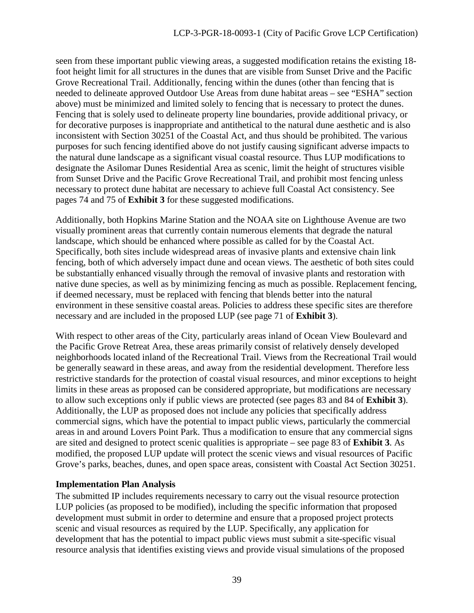seen from these important public viewing areas, a suggested modification retains the existing 18 foot height limit for all structures in the dunes that are visible from Sunset Drive and the Pacific Grove Recreational Trail. Additionally, fencing within the dunes (other than fencing that is needed to delineate approved Outdoor Use Areas from dune habitat areas – see "ESHA" section above) must be minimized and limited solely to fencing that is necessary to protect the dunes. Fencing that is solely used to delineate property line boundaries, provide additional privacy, or for decorative purposes is inappropriate and antithetical to the natural dune aesthetic and is also inconsistent with Section 30251 of the Coastal Act, and thus should be prohibited. The various purposes for such fencing identified above do not justify causing significant adverse impacts to the natural dune landscape as a significant visual coastal resource. Thus LUP modifications to designate the Asilomar Dunes Residential Area as scenic, limit the height of structures visible from Sunset Drive and the Pacific Grove Recreational Trail, and prohibit most fencing unless necessary to protect dune habitat are necessary to achieve full Coastal Act consistency. See pages 74 and 75 of **Exhibit 3** for these suggested modifications.

Additionally, both Hopkins Marine Station and the NOAA site on Lighthouse Avenue are two visually prominent areas that currently contain numerous elements that degrade the natural landscape, which should be enhanced where possible as called for by the Coastal Act. Specifically, both sites include widespread areas of invasive plants and extensive chain link fencing, both of which adversely impact dune and ocean views. The aesthetic of both sites could be substantially enhanced visually through the removal of invasive plants and restoration with native dune species, as well as by minimizing fencing as much as possible. Replacement fencing, if deemed necessary, must be replaced with fencing that blends better into the natural environment in these sensitive coastal areas. Policies to address these specific sites are therefore necessary and are included in the proposed LUP (see page 71 of **Exhibit 3**).

With respect to other areas of the City, particularly areas inland of Ocean View Boulevard and the Pacific Grove Retreat Area, these areas primarily consist of relatively densely developed neighborhoods located inland of the Recreational Trail. Views from the Recreational Trail would be generally seaward in these areas, and away from the residential development. Therefore less restrictive standards for the protection of coastal visual resources, and minor exceptions to height limits in these areas as proposed can be considered appropriate, but modifications are necessary to allow such exceptions only if public views are protected (see pages 83 and 84 of **Exhibit 3**). Additionally, the LUP as proposed does not include any policies that specifically address commercial signs, which have the potential to impact public views, particularly the commercial areas in and around Lovers Point Park. Thus a modification to ensure that any commercial signs are sited and designed to protect scenic qualities is appropriate – see page 83 of **Exhibit 3**. As modified, the proposed LUP update will protect the scenic views and visual resources of Pacific Grove's parks, beaches, dunes, and open space areas, consistent with Coastal Act Section 30251.

### **Implementation Plan Analysis**

The submitted IP includes requirements necessary to carry out the visual resource protection LUP policies (as proposed to be modified), including the specific information that proposed development must submit in order to determine and ensure that a proposed project protects scenic and visual resources as required by the LUP. Specifically, any application for development that has the potential to impact public views must submit a site-specific visual resource analysis that identifies existing views and provide visual simulations of the proposed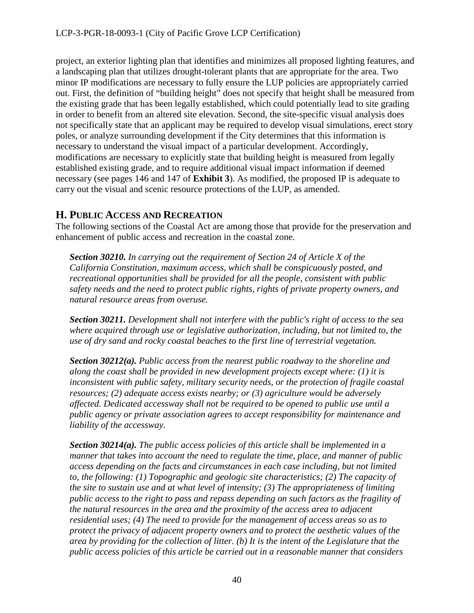project, an exterior lighting plan that identifies and minimizes all proposed lighting features, and a landscaping plan that utilizes drought-tolerant plants that are appropriate for the area. Two minor IP modifications are necessary to fully ensure the LUP policies are appropriately carried out. First, the definition of "building height" does not specify that height shall be measured from the existing grade that has been legally established, which could potentially lead to site grading in order to benefit from an altered site elevation. Second, the site-specific visual analysis does not specifically state that an applicant may be required to develop visual simulations, erect story poles, or analyze surrounding development if the City determines that this information is necessary to understand the visual impact of a particular development. Accordingly, modifications are necessary to explicitly state that building height is measured from legally established existing grade, and to require additional visual impact information if deemed necessary (see pages 146 and 147 of **Exhibit 3**). As modified, the proposed IP is adequate to carry out the visual and scenic resource protections of the LUP, as amended.

## <span id="page-39-0"></span>**H. PUBLIC ACCESS AND RECREATION**

The following sections of the Coastal Act are among those that provide for the preservation and enhancement of public access and recreation in the coastal zone.

*Section 30210. In carrying out the requirement of Section 24 of Article X of the California Constitution, maximum access, which shall be conspicuously posted, and recreational opportunities shall be provided for all the people, consistent with public safety needs and the need to protect public rights, rights of private property owners, and natural resource areas from overuse.* 

*Section 30211. Development shall not interfere with the public's right of access to the sea where acquired through use or legislative authorization, including, but not limited to, the use of dry sand and rocky coastal beaches to the first line of terrestrial vegetation.* 

*Section 30212(a). Public access from the nearest public roadway to the shoreline and along the coast shall be provided in new development projects except where: (1) it is inconsistent with public safety, military security needs, or the protection of fragile coastal resources; (2) adequate access exists nearby; or (3) agriculture would be adversely affected. Dedicated accessway shall not be required to be opened to public use until a public agency or private association agrees to accept responsibility for maintenance and liability of the accessway.*

*Section 30214(a). The public access policies of this article shall be implemented in a manner that takes into account the need to regulate the time, place, and manner of public access depending on the facts and circumstances in each case including, but not limited to, the following: (1) Topographic and geologic site characteristics; (2) The capacity of the site to sustain use and at what level of intensity; (3) The appropriateness of limiting public access to the right to pass and repass depending on such factors as the fragility of the natural resources in the area and the proximity of the access area to adjacent residential uses; (4) The need to provide for the management of access areas so as to protect the privacy of adjacent property owners and to protect the aesthetic values of the area by providing for the collection of litter. (b) It is the intent of the Legislature that the public access policies of this article be carried out in a reasonable manner that considers*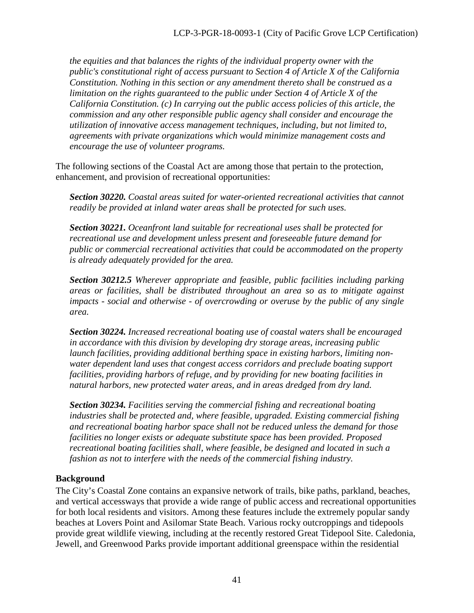*the equities and that balances the rights of the individual property owner with the public's constitutional right of access pursuant to Section 4 of Article X of the California Constitution. Nothing in this section or any amendment thereto shall be construed as a limitation on the rights guaranteed to the public under Section 4 of Article X of the California Constitution. (c) In carrying out the public access policies of this article, the commission and any other responsible public agency shall consider and encourage the utilization of innovative access management techniques, including, but not limited to, agreements with private organizations which would minimize management costs and encourage the use of volunteer programs.* 

The following sections of the Coastal Act are among those that pertain to the protection, enhancement, and provision of recreational opportunities:

*Section 30220. Coastal areas suited for water-oriented recreational activities that cannot readily be provided at inland water areas shall be protected for such uses.* 

*Section 30221. Oceanfront land suitable for recreational uses shall be protected for recreational use and development unless present and foreseeable future demand for public or commercial recreational activities that could be accommodated on the property is already adequately provided for the area.* 

*Section 30212.5 Wherever appropriate and feasible, public facilities including parking areas or facilities, shall be distributed throughout an area so as to mitigate against impacts - social and otherwise - of overcrowding or overuse by the public of any single area.*

*Section 30224. Increased recreational boating use of coastal waters shall be encouraged in accordance with this division by developing dry storage areas, increasing public launch facilities, providing additional berthing space in existing harbors, limiting nonwater dependent land uses that congest access corridors and preclude boating support facilities, providing harbors of refuge, and by providing for new boating facilities in natural harbors, new protected water areas, and in areas dredged from dry land.* 

*Section 30234. Facilities serving the commercial fishing and recreational boating industries shall be protected and, where feasible, upgraded. Existing commercial fishing and recreational boating harbor space shall not be reduced unless the demand for those facilities no longer exists or adequate substitute space has been provided. Proposed recreational boating facilities shall, where feasible, be designed and located in such a fashion as not to interfere with the needs of the commercial fishing industry.* 

## **Background**

The City's Coastal Zone contains an expansive network of trails, bike paths, parkland, beaches, and vertical accessways that provide a wide range of public access and recreational opportunities for both local residents and visitors. Among these features include the extremely popular sandy beaches at Lovers Point and Asilomar State Beach. Various rocky outcroppings and tidepools provide great wildlife viewing, including at the recently restored Great Tidepool Site. Caledonia, Jewell, and Greenwood Parks provide important additional greenspace within the residential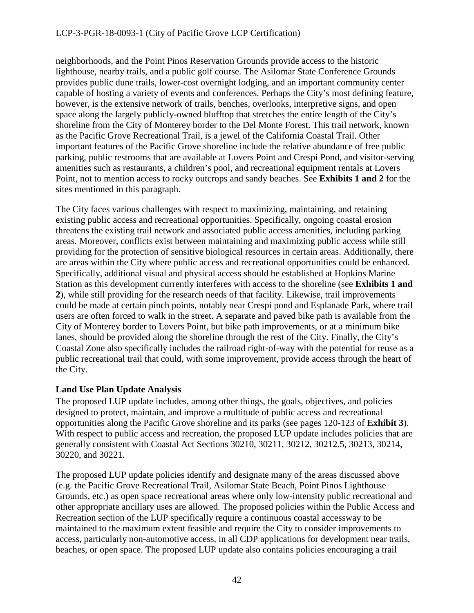neighborhoods, and the Point Pinos Reservation Grounds provide access to the historic lighthouse, nearby trails, and a public golf course. The Asilomar State Conference Grounds provides public dune trails, lower-cost overnight lodging, and an important community center capable of hosting a variety of events and conferences. Perhaps the City's most defining feature, however, is the extensive network of trails, benches, overlooks, interpretive signs, and open space along the largely publicly-owned blufftop that stretches the entire length of the City's shoreline from the City of Monterey border to the Del Monte Forest. This trail network, known as the Pacific Grove Recreational Trail, is a jewel of the California Coastal Trail. Other important features of the Pacific Grove shoreline include the relative abundance of free public parking, public restrooms that are available at Lovers Point and Crespi Pond, and visitor-serving amenities such as restaurants, a children's pool, and recreational equipment rentals at Lovers Point, not to mention access to rocky outcrops and sandy beaches. See **Exhibits 1 and 2** for the sites mentioned in this paragraph.

The City faces various challenges with respect to maximizing, maintaining, and retaining existing public access and recreational opportunities. Specifically, ongoing coastal erosion threatens the existing trail network and associated public access amenities, including parking areas. Moreover, conflicts exist between maintaining and maximizing public access while still providing for the protection of sensitive biological resources in certain areas. Additionally, there are areas within the City where public access and recreational opportunities could be enhanced. Specifically, additional visual and physical access should be established at Hopkins Marine Station as this development currently interferes with access to the shoreline (see **Exhibits 1 and 2**), while still providing for the research needs of that facility. Likewise, trail improvements could be made at certain pinch points, notably near Crespi pond and Esplanade Park, where trail users are often forced to walk in the street. A separate and paved bike path is available from the City of Monterey border to Lovers Point, but bike path improvements, or at a minimum bike lanes, should be provided along the shoreline through the rest of the City. Finally, the City's Coastal Zone also specifically includes the railroad right-of-way with the potential for reuse as a public recreational trail that could, with some improvement, provide access through the heart of the City.

## **Land Use Plan Update Analysis**

The proposed LUP update includes, among other things, the goals, objectives, and policies designed to protect, maintain, and improve a multitude of public access and recreational opportunities along the Pacific Grove shoreline and its parks (see pages 120-123 of **Exhibit 3**). With respect to public access and recreation, the proposed LUP update includes policies that are generally consistent with Coastal Act Sections 30210, 30211, 30212, 30212.5, 30213, 30214, 30220, and 30221.

The proposed LUP update policies identify and designate many of the areas discussed above (e.g. the Pacific Grove Recreational Trail, Asilomar State Beach, Point Pinos Lighthouse Grounds, etc.) as open space recreational areas where only low-intensity public recreational and other appropriate ancillary uses are allowed. The proposed policies within the Public Access and Recreation section of the LUP specifically require a continuous coastal accessway to be maintained to the maximum extent feasible and require the City to consider improvements to access, particularly non-automotive access, in all CDP applications for development near trails, beaches, or open space. The proposed LUP update also contains policies encouraging a trail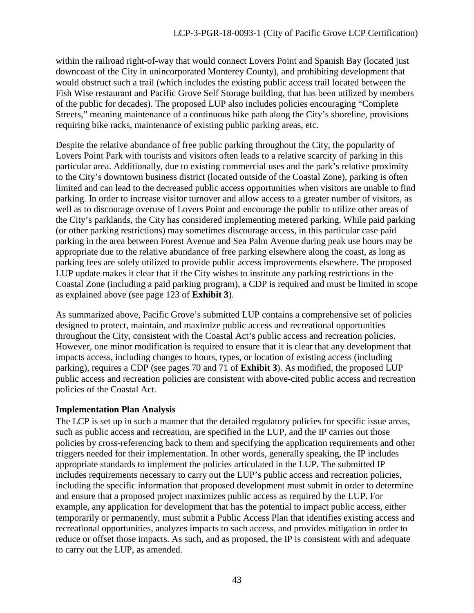within the railroad right-of-way that would connect Lovers Point and Spanish Bay (located just downcoast of the City in unincorporated Monterey County), and prohibiting development that would obstruct such a trail (which includes the existing public access trail located between the Fish Wise restaurant and Pacific Grove Self Storage building, that has been utilized by members of the public for decades). The proposed LUP also includes policies encouraging "Complete Streets," meaning maintenance of a continuous bike path along the City's shoreline, provisions requiring bike racks, maintenance of existing public parking areas, etc.

Despite the relative abundance of free public parking throughout the City, the popularity of Lovers Point Park with tourists and visitors often leads to a relative scarcity of parking in this particular area. Additionally, due to existing commercial uses and the park's relative proximity to the City's downtown business district (located outside of the Coastal Zone), parking is often limited and can lead to the decreased public access opportunities when visitors are unable to find parking. In order to increase visitor turnover and allow access to a greater number of visitors, as well as to discourage overuse of Lovers Point and encourage the public to utilize other areas of the City's parklands, the City has considered implementing metered parking. While paid parking (or other parking restrictions) may sometimes discourage access, in this particular case paid parking in the area between Forest Avenue and Sea Palm Avenue during peak use hours may be appropriate due to the relative abundance of free parking elsewhere along the coast, as long as parking fees are solely utilized to provide public access improvements elsewhere. The proposed LUP update makes it clear that if the City wishes to institute any parking restrictions in the Coastal Zone (including a paid parking program), a CDP is required and must be limited in scope as explained above (see page 123 of **Exhibit 3**).

As summarized above, Pacific Grove's submitted LUP contains a comprehensive set of policies designed to protect, maintain, and maximize public access and recreational opportunities throughout the City, consistent with the Coastal Act's public access and recreation policies. However, one minor modification is required to ensure that it is clear that any development that impacts access, including changes to hours, types, or location of existing access (including parking), requires a CDP (see pages 70 and 71 of **Exhibit 3**). As modified, the proposed LUP public access and recreation policies are consistent with above-cited public access and recreation policies of the Coastal Act.

## **Implementation Plan Analysis**

The LCP is set up in such a manner that the detailed regulatory policies for specific issue areas, such as public access and recreation, are specified in the LUP, and the IP carries out those policies by cross-referencing back to them and specifying the application requirements and other triggers needed for their implementation. In other words, generally speaking, the IP includes appropriate standards to implement the policies articulated in the LUP. The submitted IP includes requirements necessary to carry out the LUP's public access and recreation policies, including the specific information that proposed development must submit in order to determine and ensure that a proposed project maximizes public access as required by the LUP. For example, any application for development that has the potential to impact public access, either temporarily or permanently, must submit a Public Access Plan that identifies existing access and recreational opportunities, analyzes impacts to such access, and provides mitigation in order to reduce or offset those impacts. As such, and as proposed, the IP is consistent with and adequate to carry out the LUP, as amended.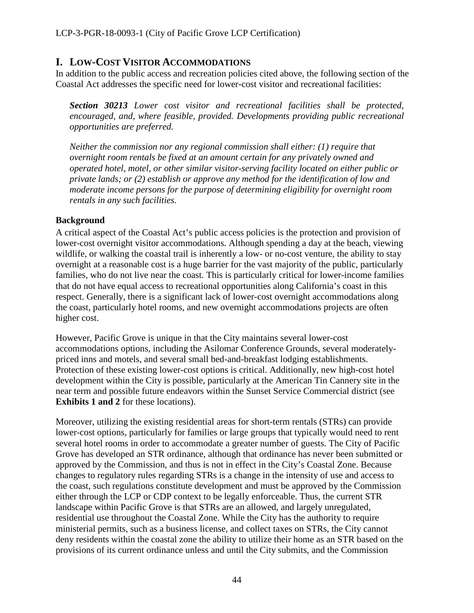## <span id="page-43-0"></span>**I. LOW-COST VISITOR ACCOMMODATIONS**

In addition to the public access and recreation policies cited above, the following section of the Coastal Act addresses the specific need for lower-cost visitor and recreational facilities:

*Section 30213 Lower cost visitor and recreational facilities shall be protected, encouraged, and, where feasible, provided. Developments providing public recreational opportunities are preferred.* 

*Neither the commission nor any regional commission shall either: (1) require that overnight room rentals be fixed at an amount certain for any privately owned and operated hotel, motel, or other similar visitor-serving facility located on either public or private lands; or (2) establish or approve any method for the identification of low and moderate income persons for the purpose of determining eligibility for overnight room rentals in any such facilities.*

### **Background**

A critical aspect of the Coastal Act's public access policies is the protection and provision of lower-cost overnight visitor accommodations. Although spending a day at the beach, viewing wildlife, or walking the coastal trail is inherently a low- or no-cost venture, the ability to stay overnight at a reasonable cost is a huge barrier for the vast majority of the public, particularly families, who do not live near the coast. This is particularly critical for lower-income families that do not have equal access to recreational opportunities along California's coast in this respect. Generally, there is a significant lack of lower-cost overnight accommodations along the coast, particularly hotel rooms, and new overnight accommodations projects are often higher cost.

However, Pacific Grove is unique in that the City maintains several lower-cost accommodations options, including the Asilomar Conference Grounds, several moderatelypriced inns and motels, and several small bed-and-breakfast lodging establishments. Protection of these existing lower-cost options is critical. Additionally, new high-cost hotel development within the City is possible, particularly at the American Tin Cannery site in the near term and possible future endeavors within the Sunset Service Commercial district (see **Exhibits 1 and 2** for these locations).

Moreover, utilizing the existing residential areas for short-term rentals (STRs) can provide lower-cost options, particularly for families or large groups that typically would need to rent several hotel rooms in order to accommodate a greater number of guests. The City of Pacific Grove has developed an STR ordinance, although that ordinance has never been submitted or approved by the Commission, and thus is not in effect in the City's Coastal Zone. Because changes to regulatory rules regarding STRs is a change in the intensity of use and access to the coast, such regulations constitute development and must be approved by the Commission either through the LCP or CDP context to be legally enforceable. Thus, the current STR landscape within Pacific Grove is that STRs are an allowed, and largely unregulated, residential use throughout the Coastal Zone. While the City has the authority to require ministerial permits, such as a business license, and collect taxes on STRs, the City cannot deny residents within the coastal zone the ability to utilize their home as an STR based on the provisions of its current ordinance unless and until the City submits, and the Commission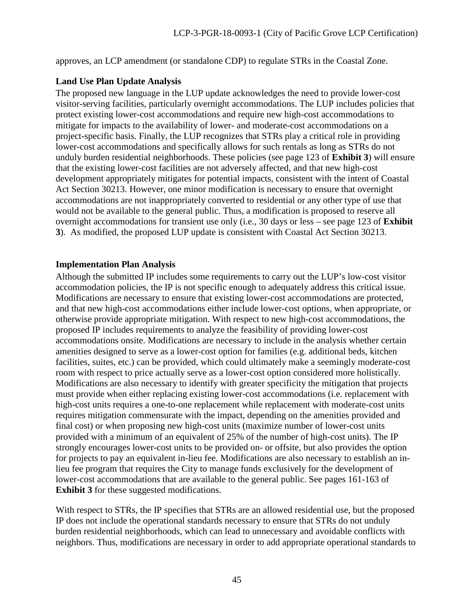approves, an LCP amendment (or standalone CDP) to regulate STRs in the Coastal Zone.

## **Land Use Plan Update Analysis**

The proposed new language in the LUP update acknowledges the need to provide lower-cost visitor-serving facilities, particularly overnight accommodations. The LUP includes policies that protect existing lower-cost accommodations and require new high-cost accommodations to mitigate for impacts to the availability of lower- and moderate-cost accommodations on a project-specific basis. Finally, the LUP recognizes that STRs play a critical role in providing lower-cost accommodations and specifically allows for such rentals as long as STRs do not unduly burden residential neighborhoods. These policies (see page 123 of **Exhibit 3**) will ensure that the existing lower-cost facilities are not adversely affected, and that new high-cost development appropriately mitigates for potential impacts, consistent with the intent of Coastal Act Section 30213. However, one minor modification is necessary to ensure that overnight accommodations are not inappropriately converted to residential or any other type of use that would not be available to the general public. Thus, a modification is proposed to reserve all overnight accommodations for transient use only (i.e., 30 days or less – see page 123 of **Exhibit 3**). As modified, the proposed LUP update is consistent with Coastal Act Section 30213.

### **Implementation Plan Analysis**

Although the submitted IP includes some requirements to carry out the LUP's low-cost visitor accommodation policies, the IP is not specific enough to adequately address this critical issue. Modifications are necessary to ensure that existing lower-cost accommodations are protected, and that new high-cost accommodations either include lower-cost options, when appropriate, or otherwise provide appropriate mitigation. With respect to new high-cost accommodations, the proposed IP includes requirements to analyze the feasibility of providing lower-cost accommodations onsite. Modifications are necessary to include in the analysis whether certain amenities designed to serve as a lower-cost option for families (e.g. additional beds, kitchen facilities, suites, etc.) can be provided, which could ultimately make a seemingly moderate-cost room with respect to price actually serve as a lower-cost option considered more holistically. Modifications are also necessary to identify with greater specificity the mitigation that projects must provide when either replacing existing lower-cost accommodations (i.e. replacement with high-cost units requires a one-to-one replacement while replacement with moderate-cost units requires mitigation commensurate with the impact, depending on the amenities provided and final cost) or when proposing new high-cost units (maximize number of lower-cost units provided with a minimum of an equivalent of 25% of the number of high-cost units). The IP strongly encourages lower-cost units to be provided on- or offsite, but also provides the option for projects to pay an equivalent in-lieu fee. Modifications are also necessary to establish an inlieu fee program that requires the City to manage funds exclusively for the development of lower-cost accommodations that are available to the general public. See pages 161-163 of **Exhibit 3** for these suggested modifications.

With respect to STRs, the IP specifies that STRs are an allowed residential use, but the proposed IP does not include the operational standards necessary to ensure that STRs do not unduly burden residential neighborhoods, which can lead to unnecessary and avoidable conflicts with neighbors. Thus, modifications are necessary in order to add appropriate operational standards to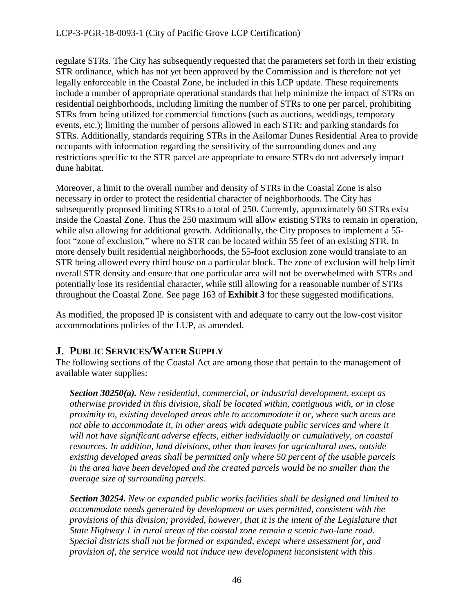## LCP-3-PGR-18-0093-1 (City of Pacific Grove LCP Certification)

regulate STRs. The City has subsequently requested that the parameters set forth in their existing STR ordinance, which has not yet been approved by the Commission and is therefore not yet legally enforceable in the Coastal Zone, be included in this LCP update. These requirements include a number of appropriate operational standards that help minimize the impact of STRs on residential neighborhoods, including limiting the number of STRs to one per parcel, prohibiting STRs from being utilized for commercial functions (such as auctions, weddings, temporary events, etc.); limiting the number of persons allowed in each STR; and parking standards for STRs. Additionally, standards requiring STRs in the Asilomar Dunes Residential Area to provide occupants with information regarding the sensitivity of the surrounding dunes and any restrictions specific to the STR parcel are appropriate to ensure STRs do not adversely impact dune habitat.

Moreover, a limit to the overall number and density of STRs in the Coastal Zone is also necessary in order to protect the residential character of neighborhoods. The City has subsequently proposed limiting STRs to a total of 250. Currently, approximately 60 STRs exist inside the Coastal Zone. Thus the 250 maximum will allow existing STRs to remain in operation, while also allowing for additional growth. Additionally, the City proposes to implement a 55foot "zone of exclusion," where no STR can be located within 55 feet of an existing STR. In more densely built residential neighborhoods, the 55-foot exclusion zone would translate to an STR being allowed every third house on a particular block. The zone of exclusion will help limit overall STR density and ensure that one particular area will not be overwhelmed with STRs and potentially lose its residential character, while still allowing for a reasonable number of STRs throughout the Coastal Zone. See page 163 of **Exhibit 3** for these suggested modifications.

As modified, the proposed IP is consistent with and adequate to carry out the low-cost visitor accommodations policies of the LUP, as amended.

## <span id="page-45-0"></span>**J. PUBLIC SERVICES/WATER SUPPLY**

The following sections of the Coastal Act are among those that pertain to the management of available water supplies:

*Section 30250(a). New residential, commercial, or industrial development, except as otherwise provided in this division, shall be located within, contiguous with, or in close proximity to, existing developed areas able to accommodate it or, where such areas are not able to accommodate it, in other areas with adequate public services and where it will not have significant adverse effects, either individually or cumulatively, on coastal resources. In addition, land divisions, other than leases for agricultural uses, outside existing developed areas shall be permitted only where 50 percent of the usable parcels*  in the area have been developed and the created parcels would be no smaller than the *average size of surrounding parcels.* 

*Section 30254. New or expanded public works facilities shall be designed and limited to accommodate needs generated by development or uses permitted, consistent with the provisions of this division; provided, however, that it is the intent of the Legislature that State Highway 1 in rural areas of the coastal zone remain a scenic two-lane road. Special districts shall not be formed or expanded, except where assessment for, and provision of, the service would not induce new development inconsistent with this*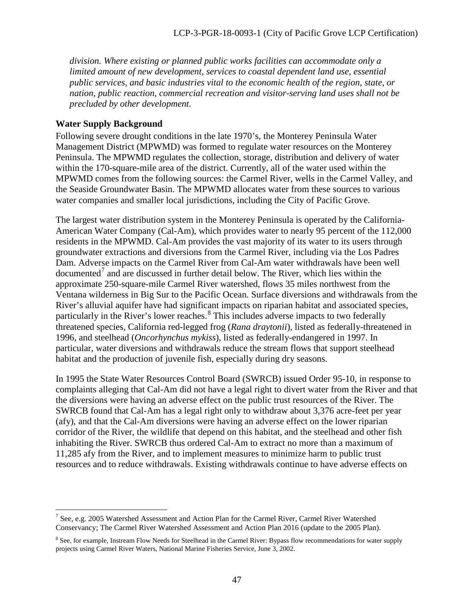*division. Where existing or planned public works facilities can accommodate only a limited amount of new development, services to coastal dependent land use, essential public services, and basic industries vital to the economic health of the region, state, or nation, public reaction, commercial recreation and visitor-serving land uses shall not be precluded by other development.* 

### **Water Supply Background**

Following severe drought conditions in the late 1970's, the Monterey Peninsula Water Management District (MPWMD) was formed to regulate water resources on the Monterey Peninsula. The MPWMD regulates the collection, storage, distribution and delivery of water within the 170-square-mile area of the district. Currently, all of the water used within the MPWMD comes from the following sources: the Carmel River, wells in the Carmel Valley, and the Seaside Groundwater Basin. The MPWMD allocates water from these sources to various water companies and smaller local jurisdictions, including the City of Pacific Grove.

The largest water distribution system in the Monterey Peninsula is operated by the California-American Water Company (Cal-Am), which provides water to nearly 95 percent of the 112,000 residents in the MPWMD. Cal-Am provides the vast majority of its water to its users through groundwater extractions and diversions from the Carmel River, including via the Los Padres Dam. Adverse impacts on the Carmel River from Cal-Am water withdrawals have been well documented<sup>[7](#page-46-0)</sup> and are discussed in further detail below. The River, which lies within the approximate 250-square-mile Carmel River watershed, flows 35 miles northwest from the Ventana wilderness in Big Sur to the Pacific Ocean. Surface diversions and withdrawals from the River's alluvial aquifer have had significant impacts on riparian habitat and associated species, particularly in the River's lower reaches.<sup>[8](#page-46-1)</sup> This includes adverse impacts to two federally threatened species, California red-legged frog (*Rana draytonii*), listed as federally-threatened in 1996, and steelhead (*Oncorhynchus mykiss*), listed as federally-endangered in 1997. In particular, water diversions and withdrawals reduce the stream flows that support steelhead habitat and the production of juvenile fish, especially during dry seasons.

In 1995 the State Water Resources Control Board (SWRCB) issued Order 95-10, in response to complaints alleging that Cal-Am did not have a legal right to divert water from the River and that the diversions were having an adverse effect on the public trust resources of the River. The SWRCB found that Cal-Am has a legal right only to withdraw about 3,376 acre-feet per year (afy), and that the Cal-Am diversions were having an adverse effect on the lower riparian corridor of the River, the wildlife that depend on this habitat, and the steelhead and other fish inhabiting the River. SWRCB thus ordered Cal-Am to extract no more than a maximum of 11,285 afy from the River, and to implement measures to minimize harm to public trust resources and to reduce withdrawals. Existing withdrawals continue to have adverse effects on

<span id="page-46-0"></span> $\overline{a}$  $7$  See, e.g. 2005 Watershed Assessment and Action Plan for the Carmel River, Carmel River Watershed Conservancy; The Carmel River Watershed Assessment and Action Plan 2016 (update to the 2005 Plan).

<span id="page-46-1"></span><sup>&</sup>lt;sup>8</sup> See, for example, Instream Flow Needs for Steelhead in the Carmel River: Bypass flow recommendations for water supply projects using Carmel River Waters, National Marine Fisheries Service, June 3, 2002.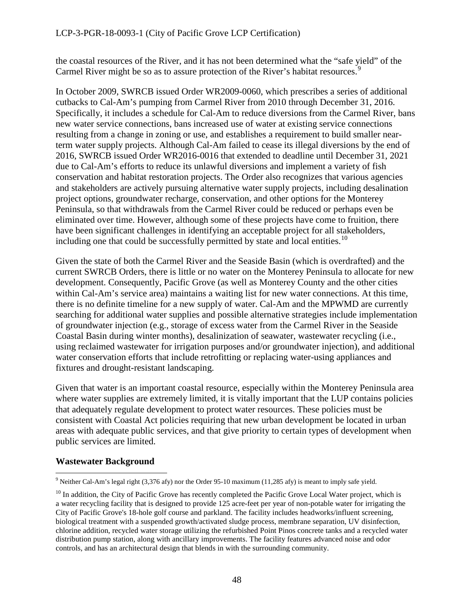the coastal resources of the River, and it has not been determined what the "safe yield" of the Carmel River might be so as to assure protection of the River's habitat resources.<sup>5</sup>

In October 2009, SWRCB issued Order WR2009-0060, which prescribes a series of additional cutbacks to Cal-Am's pumping from Carmel River from 2010 through December 31, 2016. Specifically, it includes a schedule for Cal-Am to reduce diversions from the Carmel River, bans new water service connections, bans increased use of water at existing service connections resulting from a change in zoning or use, and establishes a requirement to build smaller nearterm water supply projects. Although Cal-Am failed to cease its illegal diversions by the end of 2016, SWRCB issued Order WR2016-0016 that extended to deadline until December 31, 2021 due to Cal-Am's efforts to reduce its unlawful diversions and implement a variety of fish conservation and habitat restoration projects. The Order also recognizes that various agencies and stakeholders are actively pursuing alternative water supply projects, including desalination project options, groundwater recharge, conservation, and other options for the Monterey Peninsula, so that withdrawals from the Carmel River could be reduced or perhaps even be eliminated over time. However, although some of these projects have come to fruition, there have been significant challenges in identifying an acceptable project for all stakeholders, including one that could be successfully permitted by state and local entities.<sup>[10](#page-47-1)</sup>

Given the state of both the Carmel River and the Seaside Basin (which is overdrafted) and the current SWRCB Orders, there is little or no water on the Monterey Peninsula to allocate for new development. Consequently, Pacific Grove (as well as Monterey County and the other cities within Cal-Am's service area) maintains a waiting list for new water connections. At this time, there is no definite timeline for a new supply of water. Cal-Am and the MPWMD are currently searching for additional water supplies and possible alternative strategies include implementation of groundwater injection (e.g., storage of excess water from the Carmel River in the Seaside Coastal Basin during winter months), desalinization of seawater, wastewater recycling (i.e., using reclaimed wastewater for irrigation purposes and/or groundwater injection), and additional water conservation efforts that include retrofitting or replacing water-using appliances and fixtures and drought-resistant landscaping.

Given that water is an important coastal resource, especially within the Monterey Peninsula area where water supplies are extremely limited, it is vitally important that the LUP contains policies that adequately regulate development to protect water resources. These policies must be consistent with Coastal Act policies requiring that new urban development be located in urban areas with adequate public services, and that give priority to certain types of development when public services are limited.

## **Wastewater Background**

 $\overline{a}$ <sup>9</sup> Neither Cal-Am's legal right (3,376 afy) nor the Order 95-10 maximum (11,285 afy) is meant to imply safe yield.

<span id="page-47-1"></span><span id="page-47-0"></span> $10$  In addition, the City of Pacific Grove has recently completed the Pacific Grove Local Water project, which is a water recycling facility that is designed to provide 125 acre-feet per year of non-potable water for irrigating the City of Pacific Grove's 18-hole golf course and parkland. The facility includes headworks/influent screening, biological treatment with a suspended growth/activated sludge process, membrane separation, UV disinfection, chlorine addition, recycled water storage utilizing the refurbished Point Pinos concrete tanks and a recycled water distribution pump station, along with ancillary improvements. The facility features advanced noise and odor controls, and has an architectural design that blends in with the surrounding community.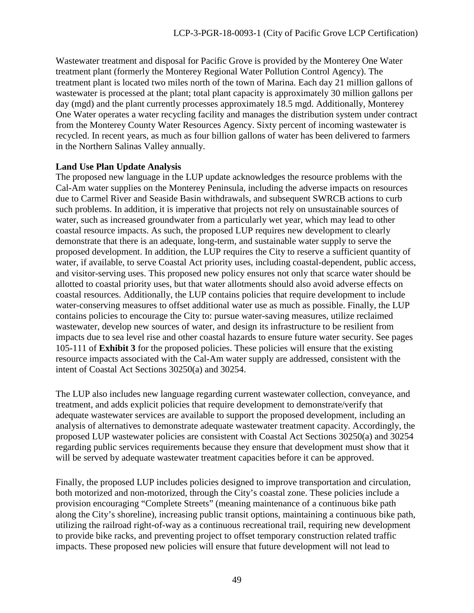Wastewater treatment and disposal for Pacific Grove is provided by the Monterey One Water treatment plant (formerly the Monterey Regional Water Pollution Control Agency). The treatment plant is located two miles north of the town of Marina. Each day 21 million gallons of wastewater is processed at the plant; total plant capacity is approximately 30 million gallons per day (mgd) and the plant currently processes approximately 18.5 mgd. Additionally, Monterey One Water operates a water recycling facility and manages the distribution system under contract from the Monterey County Water Resources Agency. Sixty percent of incoming wastewater is recycled. In recent years, as much as four billion gallons of water has been delivered to farmers in the Northern Salinas Valley annually.

#### **Land Use Plan Update Analysis**

The proposed new language in the LUP update acknowledges the resource problems with the Cal-Am water supplies on the Monterey Peninsula, including the adverse impacts on resources due to Carmel River and Seaside Basin withdrawals, and subsequent SWRCB actions to curb such problems. In addition, it is imperative that projects not rely on unsustainable sources of water, such as increased groundwater from a particularly wet year, which may lead to other coastal resource impacts. As such, the proposed LUP requires new development to clearly demonstrate that there is an adequate, long-term, and sustainable water supply to serve the proposed development. In addition, the LUP requires the City to reserve a sufficient quantity of water, if available, to serve Coastal Act priority uses, including coastal-dependent, public access, and visitor-serving uses. This proposed new policy ensures not only that scarce water should be allotted to coastal priority uses, but that water allotments should also avoid adverse effects on coastal resources. Additionally, the LUP contains policies that require development to include water-conserving measures to offset additional water use as much as possible. Finally, the LUP contains policies to encourage the City to: pursue water-saving measures, utilize reclaimed wastewater, develop new sources of water, and design its infrastructure to be resilient from impacts due to sea level rise and other coastal hazards to ensure future water security. See pages 105-111 of **Exhibit 3** for the proposed policies. These policies will ensure that the existing resource impacts associated with the Cal-Am water supply are addressed, consistent with the intent of Coastal Act Sections 30250(a) and 30254.

The LUP also includes new language regarding current wastewater collection, conveyance, and treatment, and adds explicit policies that require development to demonstrate/verify that adequate wastewater services are available to support the proposed development, including an analysis of alternatives to demonstrate adequate wastewater treatment capacity. Accordingly, the proposed LUP wastewater policies are consistent with Coastal Act Sections 30250(a) and 30254 regarding public services requirements because they ensure that development must show that it will be served by adequate wastewater treatment capacities before it can be approved.

Finally, the proposed LUP includes policies designed to improve transportation and circulation, both motorized and non-motorized, through the City's coastal zone. These policies include a provision encouraging "Complete Streets" (meaning maintenance of a continuous bike path along the City's shoreline), increasing public transit options, maintaining a continuous bike path, utilizing the railroad right-of-way as a continuous recreational trail, requiring new development to provide bike racks, and preventing project to offset temporary construction related traffic impacts. These proposed new policies will ensure that future development will not lead to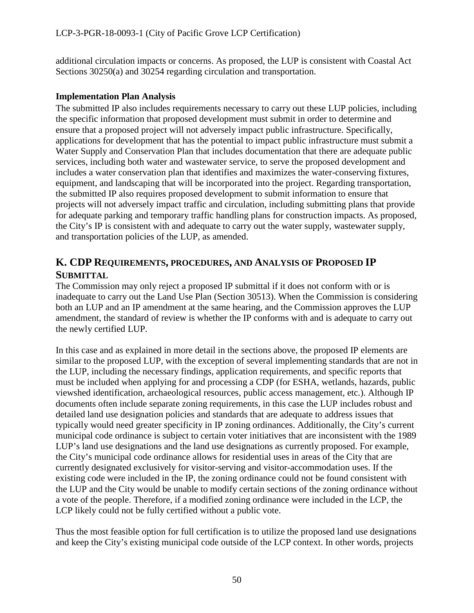additional circulation impacts or concerns. As proposed, the LUP is consistent with Coastal Act Sections 30250(a) and 30254 regarding circulation and transportation.

## **Implementation Plan Analysis**

The submitted IP also includes requirements necessary to carry out these LUP policies, including the specific information that proposed development must submit in order to determine and ensure that a proposed project will not adversely impact public infrastructure. Specifically, applications for development that has the potential to impact public infrastructure must submit a Water Supply and Conservation Plan that includes documentation that there are adequate public services, including both water and wastewater service, to serve the proposed development and includes a water conservation plan that identifies and maximizes the water-conserving fixtures, equipment, and landscaping that will be incorporated into the project. Regarding transportation, the submitted IP also requires proposed development to submit information to ensure that projects will not adversely impact traffic and circulation, including submitting plans that provide for adequate parking and temporary traffic handling plans for construction impacts. As proposed, the City's IP is consistent with and adequate to carry out the water supply, wastewater supply, and transportation policies of the LUP, as amended.

## <span id="page-49-0"></span>**K. CDP REQUIREMENTS, PROCEDURES, AND ANALYSIS OF PROPOSED IP SUBMITTAL**

The Commission may only reject a proposed IP submittal if it does not conform with or is inadequate to carry out the Land Use Plan (Section 30513). When the Commission is considering both an LUP and an IP amendment at the same hearing, and the Commission approves the LUP amendment, the standard of review is whether the IP conforms with and is adequate to carry out the newly certified LUP.

In this case and as explained in more detail in the sections above, the proposed IP elements are similar to the proposed LUP, with the exception of several implementing standards that are not in the LUP, including the necessary findings, application requirements, and specific reports that must be included when applying for and processing a CDP (for ESHA, wetlands, hazards, public viewshed identification, archaeological resources, public access management, etc.). Although IP documents often include separate zoning requirements, in this case the LUP includes robust and detailed land use designation policies and standards that are adequate to address issues that typically would need greater specificity in IP zoning ordinances. Additionally, the City's current municipal code ordinance is subject to certain voter initiatives that are inconsistent with the 1989 LUP's land use designations and the land use designations as currently proposed. For example, the City's municipal code ordinance allows for residential uses in areas of the City that are currently designated exclusively for visitor-serving and visitor-accommodation uses. If the existing code were included in the IP, the zoning ordinance could not be found consistent with the LUP and the City would be unable to modify certain sections of the zoning ordinance without a vote of the people. Therefore, if a modified zoning ordinance were included in the LCP, the LCP likely could not be fully certified without a public vote.

Thus the most feasible option for full certification is to utilize the proposed land use designations and keep the City's existing municipal code outside of the LCP context. In other words, projects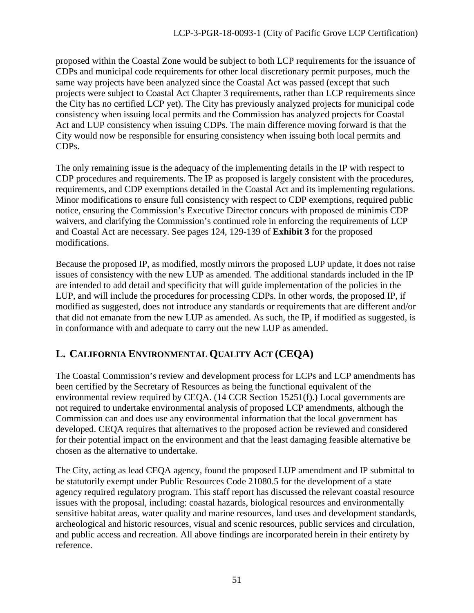proposed within the Coastal Zone would be subject to both LCP requirements for the issuance of CDPs and municipal code requirements for other local discretionary permit purposes, much the same way projects have been analyzed since the Coastal Act was passed (except that such projects were subject to Coastal Act Chapter 3 requirements, rather than LCP requirements since the City has no certified LCP yet). The City has previously analyzed projects for municipal code consistency when issuing local permits and the Commission has analyzed projects for Coastal Act and LUP consistency when issuing CDPs. The main difference moving forward is that the City would now be responsible for ensuring consistency when issuing both local permits and CDPs.

The only remaining issue is the adequacy of the implementing details in the IP with respect to CDP procedures and requirements. The IP as proposed is largely consistent with the procedures, requirements, and CDP exemptions detailed in the Coastal Act and its implementing regulations. Minor modifications to ensure full consistency with respect to CDP exemptions, required public notice, ensuring the Commission's Executive Director concurs with proposed de minimis CDP waivers, and clarifying the Commission's continued role in enforcing the requirements of LCP and Coastal Act are necessary. See pages 124, 129-139 of **Exhibit 3** for the proposed modifications.

Because the proposed IP, as modified, mostly mirrors the proposed LUP update, it does not raise issues of consistency with the new LUP as amended. The additional standards included in the IP are intended to add detail and specificity that will guide implementation of the policies in the LUP, and will include the procedures for processing CDPs. In other words, the proposed IP, if modified as suggested, does not introduce any standards or requirements that are different and/or that did not emanate from the new LUP as amended. As such, the IP, if modified as suggested, is in conformance with and adequate to carry out the new LUP as amended.

## <span id="page-50-0"></span>**L. CALIFORNIA ENVIRONMENTAL QUALITY ACT (CEQA)**

The Coastal Commission's review and development process for LCPs and LCP amendments has been certified by the Secretary of Resources as being the functional equivalent of the environmental review required by CEQA. (14 CCR Section 15251(f).) Local governments are not required to undertake environmental analysis of proposed LCP amendments, although the Commission can and does use any environmental information that the local government has developed. CEQA requires that alternatives to the proposed action be reviewed and considered for their potential impact on the environment and that the least damaging feasible alternative be chosen as the alternative to undertake.

The City, acting as lead CEQA agency, found the proposed LUP amendment and IP submittal to be statutorily exempt under Public Resources Code 21080.5 for the development of a state agency required regulatory program. This staff report has discussed the relevant coastal resource issues with the proposal, including: coastal hazards, biological resources and environmentally sensitive habitat areas, water quality and marine resources, land uses and development standards, archeological and historic resources, visual and scenic resources, public services and circulation, and public access and recreation. All above findings are incorporated herein in their entirety by reference.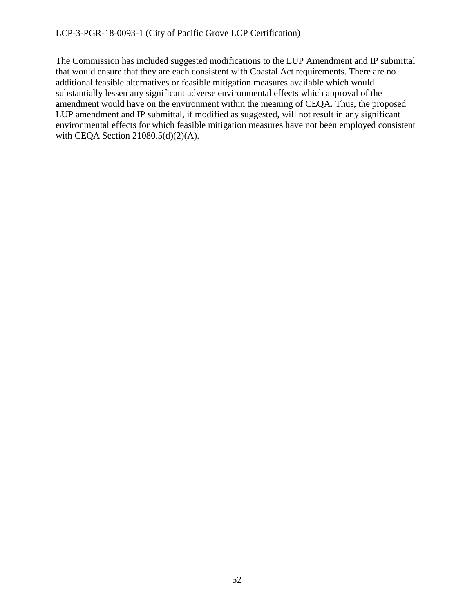The Commission has included suggested modifications to the LUP Amendment and IP submittal that would ensure that they are each consistent with Coastal Act requirements. There are no additional feasible alternatives or feasible mitigation measures available which would substantially lessen any significant adverse environmental effects which approval of the amendment would have on the environment within the meaning of CEQA. Thus, the proposed LUP amendment and IP submittal, if modified as suggested, will not result in any significant environmental effects for which feasible mitigation measures have not been employed consistent with CEQA Section 21080.5(d)(2)(A).